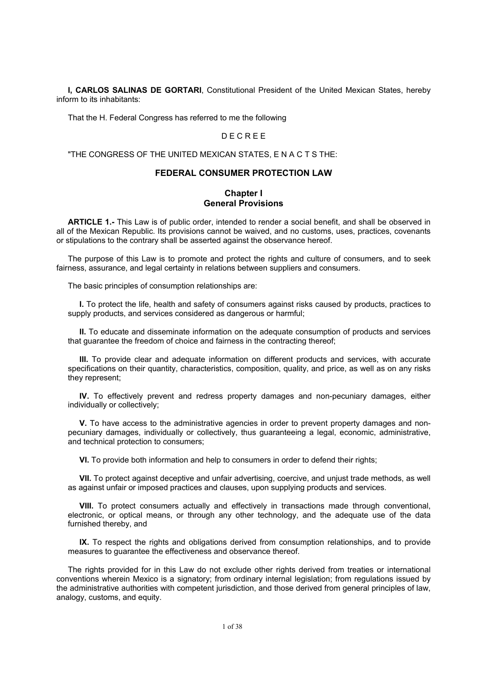**I, CARLOS SALINAS DE GORTARI**, Constitutional President of the United Mexican States, hereby inform to its inhabitants:

That the H. Federal Congress has referred to me the following

### D E C R E E

"THE CONGRESS OF THE UNITED MEXICAN STATES, E N A C T S THE:

## **FEDERAL CONSUMER PROTECTION LAW**

### **Chapter I General Provisions**

**ARTICLE 1.-** This Law is of public order, intended to render a social benefit, and shall be observed in all of the Mexican Republic. Its provisions cannot be waived, and no customs, uses, practices, covenants or stipulations to the contrary shall be asserted against the observance hereof.

The purpose of this Law is to promote and protect the rights and culture of consumers, and to seek fairness, assurance, and legal certainty in relations between suppliers and consumers.

The basic principles of consumption relationships are:

**I.** To protect the life, health and safety of consumers against risks caused by products, practices to supply products, and services considered as dangerous or harmful;

**II.** To educate and disseminate information on the adequate consumption of products and services that guarantee the freedom of choice and fairness in the contracting thereof;

**III.** To provide clear and adequate information on different products and services, with accurate specifications on their quantity, characteristics, composition, quality, and price, as well as on any risks they represent;

**IV.** To effectively prevent and redress property damages and non-pecuniary damages, either individually or collectively;

**V.** To have access to the administrative agencies in order to prevent property damages and nonpecuniary damages, individually or collectively, thus guaranteeing a legal, economic, administrative, and technical protection to consumers;

**VI.** To provide both information and help to consumers in order to defend their rights;

**VII.** To protect against deceptive and unfair advertising, coercive, and unjust trade methods, as well as against unfair or imposed practices and clauses, upon supplying products and services.

**VIII.** To protect consumers actually and effectively in transactions made through conventional, electronic, or optical means, or through any other technology, and the adequate use of the data furnished thereby, and

**IX.** To respect the rights and obligations derived from consumption relationships, and to provide measures to guarantee the effectiveness and observance thereof.

The rights provided for in this Law do not exclude other rights derived from treaties or international conventions wherein Mexico is a signatory; from ordinary internal legislation; from regulations issued by the administrative authorities with competent jurisdiction, and those derived from general principles of law, analogy, customs, and equity.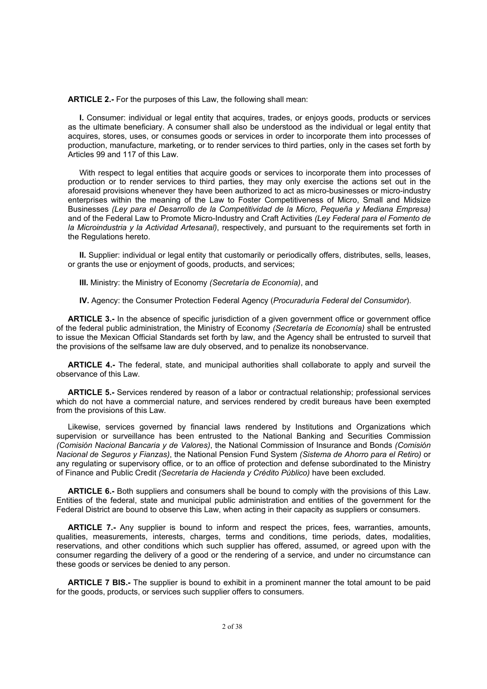**ARTICLE 2.-** For the purposes of this Law, the following shall mean:

**I.** Consumer: individual or legal entity that acquires, trades, or enjoys goods, products or services as the ultimate beneficiary. A consumer shall also be understood as the individual or legal entity that acquires, stores, uses, or consumes goods or services in order to incorporate them into processes of production, manufacture, marketing, or to render services to third parties, only in the cases set forth by Articles 99 and 117 of this Law.

With respect to legal entities that acquire goods or services to incorporate them into processes of production or to render services to third parties, they may only exercise the actions set out in the aforesaid provisions whenever they have been authorized to act as micro-businesses or micro-industry enterprises within the meaning of the Law to Foster Competitiveness of Micro, Small and Midsize Businesses *(Ley para el Desarrollo de la Competitividad de la Micro, Pequeña y Mediana Empresa)* and of the Federal Law to Promote Micro-Industry and Craft Activities *(Ley Federal para el Fomento de la Microindustria y la Actividad Artesanal)*, respectively, and pursuant to the requirements set forth in the Regulations hereto.

**II.** Supplier: individual or legal entity that customarily or periodically offers, distributes, sells, leases, or grants the use or enjoyment of goods, products, and services;

**III.** Ministry: the Ministry of Economy *(Secretaría de Economía)*, and

**IV.** Agency: the Consumer Protection Federal Agency (*Procuraduría Federal del Consumidor*).

**ARTICLE 3.-** In the absence of specific jurisdiction of a given government office or government office of the federal public administration, the Ministry of Economy *(Secretaría de Economía)* shall be entrusted to issue the Mexican Official Standards set forth by law, and the Agency shall be entrusted to surveil that the provisions of the selfsame law are duly observed, and to penalize its nonobservance.

**ARTICLE 4.-** The federal, state, and municipal authorities shall collaborate to apply and surveil the observance of this Law.

**ARTICLE 5.-** Services rendered by reason of a labor or contractual relationship; professional services which do not have a commercial nature, and services rendered by credit bureaus have been exempted from the provisions of this Law.

Likewise, services governed by financial laws rendered by Institutions and Organizations which supervision or surveillance has been entrusted to the National Banking and Securities Commission *(Comisión Nacional Bancaria y de Valores)*, the National Commission of Insurance and Bonds *(Comisión Nacional de Seguros y Fianzas)*, the National Pension Fund System *(Sistema de Ahorro para el Retiro)* or any regulating or supervisory office, or to an office of protection and defense subordinated to the Ministry of Finance and Public Credit *(Secretaría de Hacienda y Crédito Público)* have been excluded*.*

**ARTICLE 6.-** Both suppliers and consumers shall be bound to comply with the provisions of this Law. Entities of the federal, state and municipal public administration and entities of the government for the Federal District are bound to observe this Law, when acting in their capacity as suppliers or consumers.

**ARTICLE 7.-** Any supplier is bound to inform and respect the prices, fees, warranties, amounts, qualities, measurements, interests, charges, terms and conditions, time periods, dates, modalities, reservations, and other conditions which such supplier has offered, assumed, or agreed upon with the consumer regarding the delivery of a good or the rendering of a service, and under no circumstance can these goods or services be denied to any person.

**ARTICLE 7 BIS.-** The supplier is bound to exhibit in a prominent manner the total amount to be paid for the goods, products, or services such supplier offers to consumers.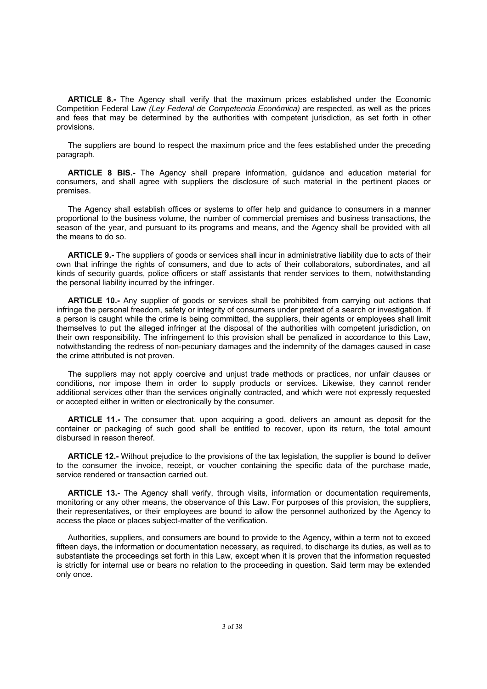**ARTICLE 8.-** The Agency shall verify that the maximum prices established under the Economic Competition Federal Law *(Ley Federal de Competencia Económica)* are respected, as well as the prices and fees that may be determined by the authorities with competent jurisdiction, as set forth in other provisions.

The suppliers are bound to respect the maximum price and the fees established under the preceding paragraph.

**ARTICLE 8 BIS.-** The Agency shall prepare information, guidance and education material for consumers, and shall agree with suppliers the disclosure of such material in the pertinent places or premises.

The Agency shall establish offices or systems to offer help and guidance to consumers in a manner proportional to the business volume, the number of commercial premises and business transactions, the season of the year, and pursuant to its programs and means, and the Agency shall be provided with all the means to do so.

**ARTICLE 9.-** The suppliers of goods or services shall incur in administrative liability due to acts of their own that infringe the rights of consumers, and due to acts of their collaborators, subordinates, and all kinds of security guards, police officers or staff assistants that render services to them, notwithstanding the personal liability incurred by the infringer.

**ARTICLE 10.-** Any supplier of goods or services shall be prohibited from carrying out actions that infringe the personal freedom, safety or integrity of consumers under pretext of a search or investigation. If a person is caught while the crime is being committed, the suppliers, their agents or employees shall limit themselves to put the alleged infringer at the disposal of the authorities with competent jurisdiction, on their own responsibility. The infringement to this provision shall be penalized in accordance to this Law, notwithstanding the redress of non-pecuniary damages and the indemnity of the damages caused in case the crime attributed is not proven.

The suppliers may not apply coercive and unjust trade methods or practices, nor unfair clauses or conditions, nor impose them in order to supply products or services. Likewise, they cannot render additional services other than the services originally contracted, and which were not expressly requested or accepted either in written or electronically by the consumer.

**ARTICLE 11.-** The consumer that, upon acquiring a good, delivers an amount as deposit for the container or packaging of such good shall be entitled to recover, upon its return, the total amount disbursed in reason thereof.

**ARTICLE 12.-** Without prejudice to the provisions of the tax legislation, the supplier is bound to deliver to the consumer the invoice, receipt, or voucher containing the specific data of the purchase made, service rendered or transaction carried out.

**ARTICLE 13.-** The Agency shall verify, through visits, information or documentation requirements, monitoring or any other means, the observance of this Law. For purposes of this provision, the suppliers, their representatives, or their employees are bound to allow the personnel authorized by the Agency to access the place or places subject-matter of the verification.

Authorities, suppliers, and consumers are bound to provide to the Agency, within a term not to exceed fifteen days, the information or documentation necessary, as required, to discharge its duties, as well as to substantiate the proceedings set forth in this Law, except when it is proven that the information requested is strictly for internal use or bears no relation to the proceeding in question. Said term may be extended only once.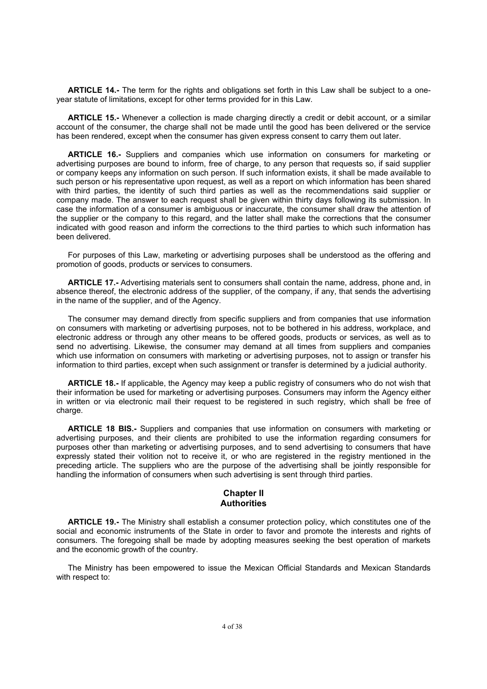**ARTICLE 14.-** The term for the rights and obligations set forth in this Law shall be subject to a oneyear statute of limitations, except for other terms provided for in this Law.

**ARTICLE 15.-** Whenever a collection is made charging directly a credit or debit account, or a similar account of the consumer, the charge shall not be made until the good has been delivered or the service has been rendered, except when the consumer has given express consent to carry them out later.

**ARTICLE 16.-** Suppliers and companies which use information on consumers for marketing or advertising purposes are bound to inform, free of charge, to any person that requests so, if said supplier or company keeps any information on such person. If such information exists, it shall be made available to such person or his representative upon request, as well as a report on which information has been shared with third parties, the identity of such third parties as well as the recommendations said supplier or company made. The answer to each request shall be given within thirty days following its submission. In case the information of a consumer is ambiguous or inaccurate, the consumer shall draw the attention of the supplier or the company to this regard, and the latter shall make the corrections that the consumer indicated with good reason and inform the corrections to the third parties to which such information has been delivered.

For purposes of this Law, marketing or advertising purposes shall be understood as the offering and promotion of goods, products or services to consumers.

**ARTICLE 17.-** Advertising materials sent to consumers shall contain the name, address, phone and, in absence thereof, the electronic address of the supplier, of the company, if any, that sends the advertising in the name of the supplier, and of the Agency.

The consumer may demand directly from specific suppliers and from companies that use information on consumers with marketing or advertising purposes, not to be bothered in his address, workplace, and electronic address or through any other means to be offered goods, products or services, as well as to send no advertising. Likewise, the consumer may demand at all times from suppliers and companies which use information on consumers with marketing or advertising purposes, not to assign or transfer his information to third parties, except when such assignment or transfer is determined by a judicial authority.

**ARTICLE 18.-** If applicable, the Agency may keep a public registry of consumers who do not wish that their information be used for marketing or advertising purposes. Consumers may inform the Agency either in written or via electronic mail their request to be registered in such registry, which shall be free of charge.

**ARTICLE 18 BIS.-** Suppliers and companies that use information on consumers with marketing or advertising purposes, and their clients are prohibited to use the information regarding consumers for purposes other than marketing or advertising purposes, and to send advertising to consumers that have expressly stated their volition not to receive it, or who are registered in the registry mentioned in the preceding article. The suppliers who are the purpose of the advertising shall be jointly responsible for handling the information of consumers when such advertising is sent through third parties.

## **Chapter II Authorities**

**ARTICLE 19.-** The Ministry shall establish a consumer protection policy, which constitutes one of the social and economic instruments of the State in order to favor and promote the interests and rights of consumers. The foregoing shall be made by adopting measures seeking the best operation of markets and the economic growth of the country.

The Ministry has been empowered to issue the Mexican Official Standards and Mexican Standards with respect to: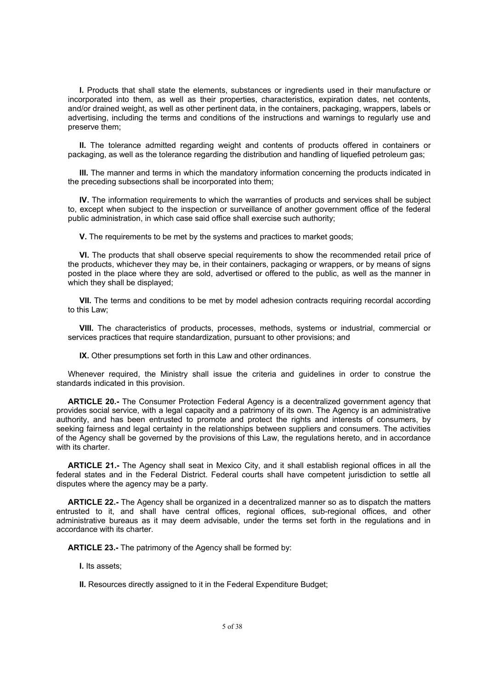**I.** Products that shall state the elements, substances or ingredients used in their manufacture or incorporated into them, as well as their properties, characteristics, expiration dates, net contents, and/or drained weight, as well as other pertinent data, in the containers, packaging, wrappers, labels or advertising, including the terms and conditions of the instructions and warnings to regularly use and preserve them;

**II.** The tolerance admitted regarding weight and contents of products offered in containers or packaging, as well as the tolerance regarding the distribution and handling of liquefied petroleum gas;

**III.** The manner and terms in which the mandatory information concerning the products indicated in the preceding subsections shall be incorporated into them;

**IV.** The information requirements to which the warranties of products and services shall be subject to, except when subject to the inspection or surveillance of another government office of the federal public administration, in which case said office shall exercise such authority;

**V.** The requirements to be met by the systems and practices to market goods;

**VI.** The products that shall observe special requirements to show the recommended retail price of the products, whichever they may be, in their containers, packaging or wrappers, or by means of signs posted in the place where they are sold, advertised or offered to the public, as well as the manner in which they shall be displayed;

**VII.** The terms and conditions to be met by model adhesion contracts requiring recordal according to this Law;

**VIII.** The characteristics of products, processes, methods, systems or industrial, commercial or services practices that require standardization, pursuant to other provisions; and

**IX.** Other presumptions set forth in this Law and other ordinances.

Whenever required, the Ministry shall issue the criteria and guidelines in order to construe the standards indicated in this provision.

**ARTICLE 20.-** The Consumer Protection Federal Agency is a decentralized government agency that provides social service, with a legal capacity and a patrimony of its own. The Agency is an administrative authority, and has been entrusted to promote and protect the rights and interests of consumers, by seeking fairness and legal certainty in the relationships between suppliers and consumers. The activities of the Agency shall be governed by the provisions of this Law, the regulations hereto, and in accordance with its charter.

**ARTICLE 21.-** The Agency shall seat in Mexico City, and it shall establish regional offices in all the federal states and in the Federal District. Federal courts shall have competent jurisdiction to settle all disputes where the agency may be a party.

**ARTICLE 22.-** The Agency shall be organized in a decentralized manner so as to dispatch the matters entrusted to it, and shall have central offices, regional offices, sub-regional offices, and other administrative bureaus as it may deem advisable, under the terms set forth in the regulations and in accordance with its charter.

**ARTICLE 23.-** The patrimony of the Agency shall be formed by:

**I.** Its assets;

**II.** Resources directly assigned to it in the Federal Expenditure Budget;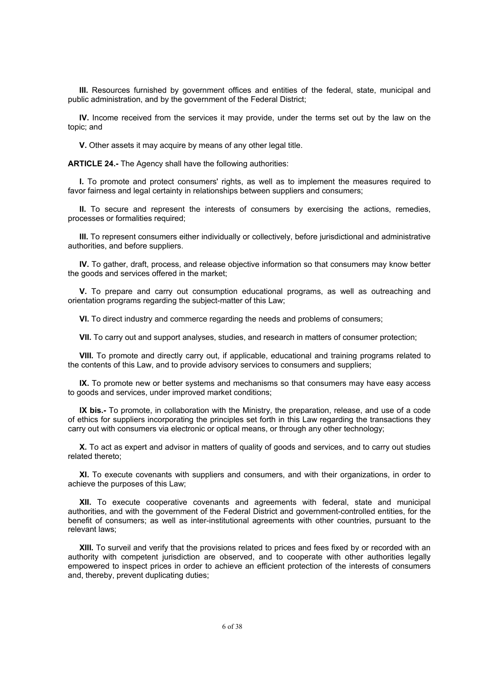**III.** Resources furnished by government offices and entities of the federal, state, municipal and public administration, and by the government of the Federal District;

**IV.** Income received from the services it may provide, under the terms set out by the law on the topic; and

**V.** Other assets it may acquire by means of any other legal title.

**ARTICLE 24.-** The Agency shall have the following authorities:

**I.** To promote and protect consumers' rights, as well as to implement the measures required to favor fairness and legal certainty in relationships between suppliers and consumers;

**II.** To secure and represent the interests of consumers by exercising the actions, remedies, processes or formalities required;

**III.** To represent consumers either individually or collectively, before jurisdictional and administrative authorities, and before suppliers.

**IV.** To gather, draft, process, and release objective information so that consumers may know better the goods and services offered in the market;

**V.** To prepare and carry out consumption educational programs, as well as outreaching and orientation programs regarding the subject-matter of this Law;

**VI.** To direct industry and commerce regarding the needs and problems of consumers;

**VII.** To carry out and support analyses, studies, and research in matters of consumer protection;

**VIII.** To promote and directly carry out, if applicable, educational and training programs related to the contents of this Law, and to provide advisory services to consumers and suppliers;

**IX.** To promote new or better systems and mechanisms so that consumers may have easy access to goods and services, under improved market conditions;

**IX bis.-** To promote, in collaboration with the Ministry, the preparation, release, and use of a code of ethics for suppliers incorporating the principles set forth in this Law regarding the transactions they carry out with consumers via electronic or optical means, or through any other technology;

**X.** To act as expert and advisor in matters of quality of goods and services, and to carry out studies related thereto;

**XI.** To execute covenants with suppliers and consumers, and with their organizations, in order to achieve the purposes of this Law;

**XII.** To execute cooperative covenants and agreements with federal, state and municipal authorities, and with the government of the Federal District and government-controlled entities, for the benefit of consumers; as well as inter-institutional agreements with other countries, pursuant to the relevant laws;

**XIII.** To surveil and verify that the provisions related to prices and fees fixed by or recorded with an authority with competent jurisdiction are observed, and to cooperate with other authorities legally empowered to inspect prices in order to achieve an efficient protection of the interests of consumers and, thereby, prevent duplicating duties;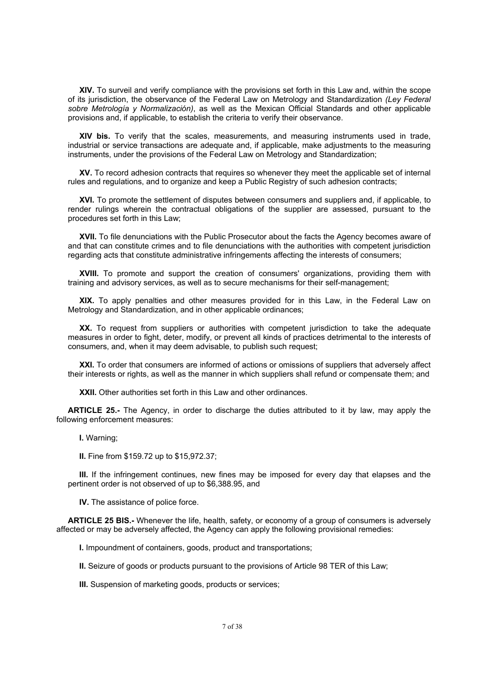**XIV.** To surveil and verify compliance with the provisions set forth in this Law and, within the scope of its jurisdiction, the observance of the Federal Law on Metrology and Standardization *(Ley Federal sobre Metrología y Normalización)*, as well as the Mexican Official Standards and other applicable provisions and, if applicable, to establish the criteria to verify their observance.

**XIV bis.** To verify that the scales, measurements, and measuring instruments used in trade, industrial or service transactions are adequate and, if applicable, make adjustments to the measuring instruments, under the provisions of the Federal Law on Metrology and Standardization;

**XV.** To record adhesion contracts that requires so whenever they meet the applicable set of internal rules and regulations, and to organize and keep a Public Registry of such adhesion contracts;

**XVI.** To promote the settlement of disputes between consumers and suppliers and, if applicable, to render rulings wherein the contractual obligations of the supplier are assessed, pursuant to the procedures set forth in this Law;

**XVII.** To file denunciations with the Public Prosecutor about the facts the Agency becomes aware of and that can constitute crimes and to file denunciations with the authorities with competent jurisdiction regarding acts that constitute administrative infringements affecting the interests of consumers;

**XVIII.** To promote and support the creation of consumers' organizations, providing them with training and advisory services, as well as to secure mechanisms for their self-management;

**XIX.** To apply penalties and other measures provided for in this Law, in the Federal Law on Metrology and Standardization, and in other applicable ordinances;

**XX.** To request from suppliers or authorities with competent jurisdiction to take the adequate measures in order to fight, deter, modify, or prevent all kinds of practices detrimental to the interests of consumers, and, when it may deem advisable, to publish such request;

**XXI.** To order that consumers are informed of actions or omissions of suppliers that adversely affect their interests or rights, as well as the manner in which suppliers shall refund or compensate them; and

**XXII.** Other authorities set forth in this Law and other ordinances.

**ARTICLE 25.-** The Agency, in order to discharge the duties attributed to it by law, may apply the following enforcement measures:

**I.** Warning;

**II.** Fine from \$159.72 up to \$15,972.37;

**III.** If the infringement continues, new fines may be imposed for every day that elapses and the pertinent order is not observed of up to \$6,388.95, and

**IV.** The assistance of police force.

**ARTICLE 25 BIS.-** Whenever the life, health, safety, or economy of a group of consumers is adversely affected or may be adversely affected, the Agency can apply the following provisional remedies:

**I.** Impoundment of containers, goods, product and transportations;

**II.** Seizure of goods or products pursuant to the provisions of Article 98 TER of this Law;

**III.** Suspension of marketing goods, products or services;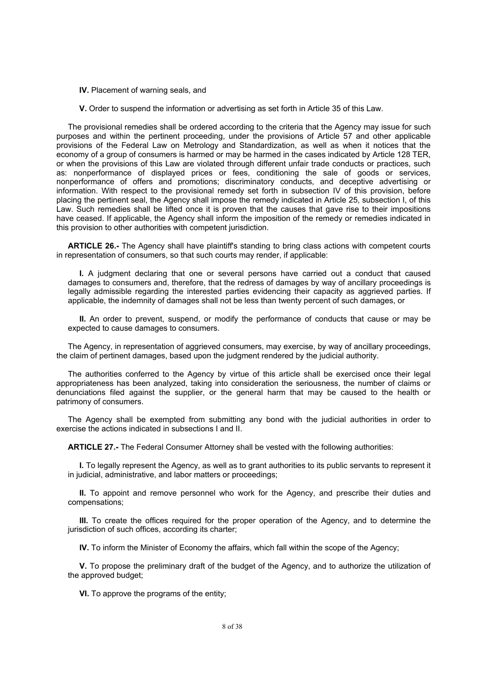#### **IV.** Placement of warning seals, and

**V.** Order to suspend the information or advertising as set forth in Article 35 of this Law.

The provisional remedies shall be ordered according to the criteria that the Agency may issue for such purposes and within the pertinent proceeding, under the provisions of Article 57 and other applicable provisions of the Federal Law on Metrology and Standardization, as well as when it notices that the economy of a group of consumers is harmed or may be harmed in the cases indicated by Article 128 TER, or when the provisions of this Law are violated through different unfair trade conducts or practices, such as: nonperformance of displayed prices or fees, conditioning the sale of goods or services, nonperformance of offers and promotions; discriminatory conducts, and deceptive advertising or information. With respect to the provisional remedy set forth in subsection IV of this provision, before placing the pertinent seal, the Agency shall impose the remedy indicated in Article 25, subsection I, of this Law. Such remedies shall be lifted once it is proven that the causes that gave rise to their impositions have ceased. If applicable, the Agency shall inform the imposition of the remedy or remedies indicated in this provision to other authorities with competent jurisdiction.

**ARTICLE 26.-** The Agency shall have plaintiff's standing to bring class actions with competent courts in representation of consumers, so that such courts may render, if applicable:

**I.** A judgment declaring that one or several persons have carried out a conduct that caused damages to consumers and, therefore, that the redress of damages by way of ancillary proceedings is legally admissible regarding the interested parties evidencing their capacity as aggrieved parties. If applicable, the indemnity of damages shall not be less than twenty percent of such damages, or

**II.** An order to prevent, suspend, or modify the performance of conducts that cause or may be expected to cause damages to consumers.

The Agency, in representation of aggrieved consumers, may exercise, by way of ancillary proceedings, the claim of pertinent damages, based upon the judgment rendered by the judicial authority.

The authorities conferred to the Agency by virtue of this article shall be exercised once their legal appropriateness has been analyzed, taking into consideration the seriousness, the number of claims or denunciations filed against the supplier, or the general harm that may be caused to the health or patrimony of consumers.

The Agency shall be exempted from submitting any bond with the judicial authorities in order to exercise the actions indicated in subsections I and II.

**ARTICLE 27.-** The Federal Consumer Attorney shall be vested with the following authorities:

**I.** To legally represent the Agency, as well as to grant authorities to its public servants to represent it in judicial, administrative, and labor matters or proceedings;

**II.** To appoint and remove personnel who work for the Agency, and prescribe their duties and compensations;

**III.** To create the offices required for the proper operation of the Agency, and to determine the jurisdiction of such offices, according its charter;

**IV.** To inform the Minister of Economy the affairs, which fall within the scope of the Agency;

**V.** To propose the preliminary draft of the budget of the Agency, and to authorize the utilization of the approved budget;

**VI.** To approve the programs of the entity;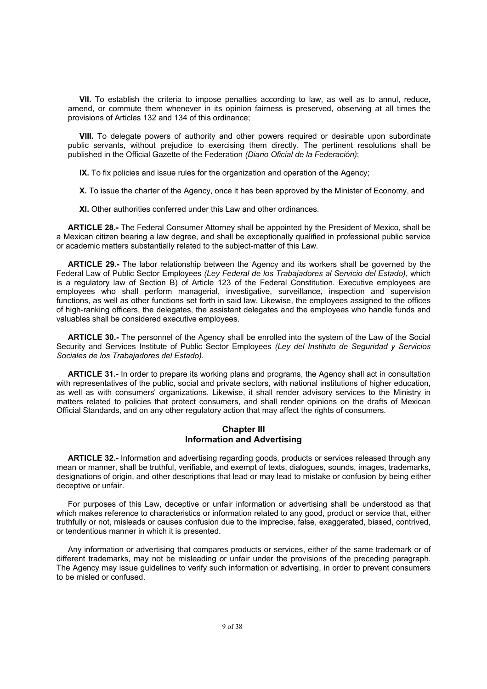**VII.** To establish the criteria to impose penalties according to law, as well as to annul, reduce, amend, or commute them whenever in its opinion fairness is preserved, observing at all times the provisions of Articles 132 and 134 of this ordinance;

**VIII.** To delegate powers of authority and other powers required or desirable upon subordinate public servants, without prejudice to exercising them directly. The pertinent resolutions shall be published in the Official Gazette of the Federation *(Diario Oficial de la Federación)*;

**IX.** To fix policies and issue rules for the organization and operation of the Agency;

**X.** To issue the charter of the Agency, once it has been approved by the Minister of Economy, and

**XI.** Other authorities conferred under this Law and other ordinances.

**ARTICLE 28.-** The Federal Consumer Attorney shall be appointed by the President of Mexico, shall be a Mexican citizen bearing a law degree, and shall be exceptionally qualified in professional public service or academic matters substantially related to the subject-matter of this Law.

**ARTICLE 29.-** The labor relationship between the Agency and its workers shall be governed by the Federal Law of Public Sector Employees *(Ley Federal de los Trabajadores al Servicio del Estado)*, which is a regulatory law of Section B) of Article 123 of the Federal Constitution. Executive employees are employees who shall perform managerial, investigative, surveillance, inspection and supervision functions, as well as other functions set forth in said law. Likewise, the employees assigned to the offices of high-ranking officers, the delegates, the assistant delegates and the employees who handle funds and valuables shall be considered executive employees.

**ARTICLE 30.-** The personnel of the Agency shall be enrolled into the system of the Law of the Social Security and Services Institute of Public Sector Employees *(Ley del Instituto de Seguridad y Servicios Sociales de los Trabajadores del Estado)*.

**ARTICLE 31.-** In order to prepare its working plans and programs, the Agency shall act in consultation with representatives of the public, social and private sectors, with national institutions of higher education, as well as with consumers' organizations. Likewise, it shall render advisory services to the Ministry in matters related to policies that protect consumers, and shall render opinions on the drafts of Mexican Official Standards, and on any other regulatory action that may affect the rights of consumers.

#### **Chapter III Information and Advertising**

**ARTICLE 32.-** Information and advertising regarding goods, products or services released through any mean or manner, shall be truthful, verifiable, and exempt of texts, dialogues, sounds, images, trademarks, designations of origin, and other descriptions that lead or may lead to mistake or confusion by being either deceptive or unfair.

For purposes of this Law, deceptive or unfair information or advertising shall be understood as that which makes reference to characteristics or information related to any good, product or service that, either truthfully or not, misleads or causes confusion due to the imprecise, false, exaggerated, biased, contrived, or tendentious manner in which it is presented.

Any information or advertising that compares products or services, either of the same trademark or of different trademarks, may not be misleading or unfair under the provisions of the preceding paragraph. The Agency may issue guidelines to verify such information or advertising, in order to prevent consumers to be misled or confused.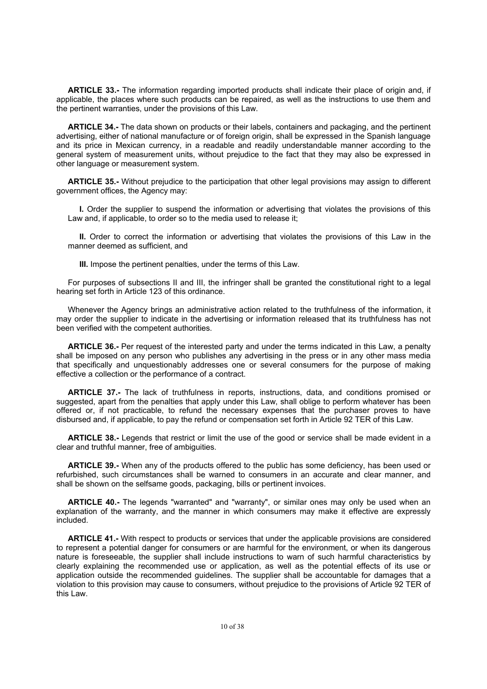**ARTICLE 33.-** The information regarding imported products shall indicate their place of origin and, if applicable, the places where such products can be repaired, as well as the instructions to use them and the pertinent warranties, under the provisions of this Law.

**ARTICLE 34.-** The data shown on products or their labels, containers and packaging, and the pertinent advertising, either of national manufacture or of foreign origin, shall be expressed in the Spanish language and its price in Mexican currency, in a readable and readily understandable manner according to the general system of measurement units, without prejudice to the fact that they may also be expressed in other language or measurement system.

**ARTICLE 35.-** Without prejudice to the participation that other legal provisions may assign to different government offices, the Agency may:

**I.** Order the supplier to suspend the information or advertising that violates the provisions of this Law and, if applicable, to order so to the media used to release it;

**II.** Order to correct the information or advertising that violates the provisions of this Law in the manner deemed as sufficient, and

**III.** Impose the pertinent penalties, under the terms of this Law.

For purposes of subsections II and III, the infringer shall be granted the constitutional right to a legal hearing set forth in Article 123 of this ordinance.

Whenever the Agency brings an administrative action related to the truthfulness of the information, it may order the supplier to indicate in the advertising or information released that its truthfulness has not been verified with the competent authorities.

**ARTICLE 36.-** Per request of the interested party and under the terms indicated in this Law, a penalty shall be imposed on any person who publishes any advertising in the press or in any other mass media that specifically and unquestionably addresses one or several consumers for the purpose of making effective a collection or the performance of a contract.

**ARTICLE 37.-** The lack of truthfulness in reports, instructions, data, and conditions promised or suggested, apart from the penalties that apply under this Law, shall oblige to perform whatever has been offered or, if not practicable, to refund the necessary expenses that the purchaser proves to have disbursed and, if applicable, to pay the refund or compensation set forth in Article 92 TER of this Law.

**ARTICLE 38.-** Legends that restrict or limit the use of the good or service shall be made evident in a clear and truthful manner, free of ambiguities.

**ARTICLE 39.-** When any of the products offered to the public has some deficiency, has been used or refurbished, such circumstances shall be warned to consumers in an accurate and clear manner, and shall be shown on the selfsame goods, packaging, bills or pertinent invoices.

**ARTICLE 40.-** The legends "warranted" and "warranty", or similar ones may only be used when an explanation of the warranty, and the manner in which consumers may make it effective are expressly included.

**ARTICLE 41.-** With respect to products or services that under the applicable provisions are considered to represent a potential danger for consumers or are harmful for the environment, or when its dangerous nature is foreseeable, the supplier shall include instructions to warn of such harmful characteristics by clearly explaining the recommended use or application, as well as the potential effects of its use or application outside the recommended guidelines. The supplier shall be accountable for damages that a violation to this provision may cause to consumers, without prejudice to the provisions of Article 92 TER of this Law.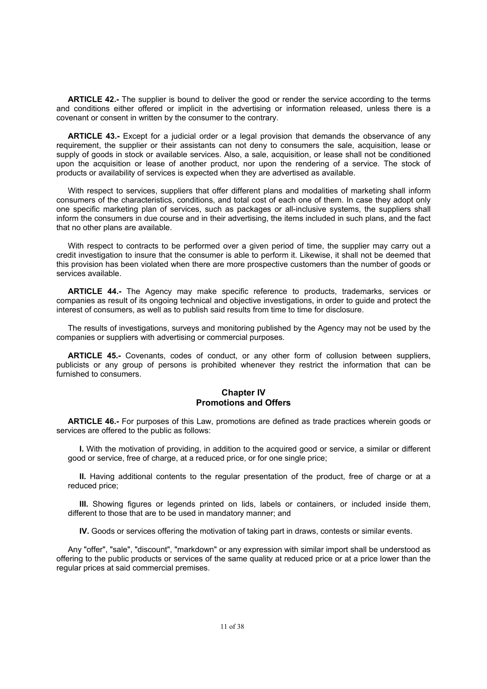**ARTICLE 42.-** The supplier is bound to deliver the good or render the service according to the terms and conditions either offered or implicit in the advertising or information released, unless there is a covenant or consent in written by the consumer to the contrary.

**ARTICLE 43.-** Except for a judicial order or a legal provision that demands the observance of any requirement, the supplier or their assistants can not deny to consumers the sale, acquisition, lease or supply of goods in stock or available services. Also, a sale, acquisition, or lease shall not be conditioned upon the acquisition or lease of another product, nor upon the rendering of a service. The stock of products or availability of services is expected when they are advertised as available.

With respect to services, suppliers that offer different plans and modalities of marketing shall inform consumers of the characteristics, conditions, and total cost of each one of them. In case they adopt only one specific marketing plan of services, such as packages or all-inclusive systems, the suppliers shall inform the consumers in due course and in their advertising, the items included in such plans, and the fact that no other plans are available.

With respect to contracts to be performed over a given period of time, the supplier may carry out a credit investigation to insure that the consumer is able to perform it. Likewise, it shall not be deemed that this provision has been violated when there are more prospective customers than the number of goods or services available.

**ARTICLE 44.-** The Agency may make specific reference to products, trademarks, services or companies as result of its ongoing technical and objective investigations, in order to guide and protect the interest of consumers, as well as to publish said results from time to time for disclosure.

The results of investigations, surveys and monitoring published by the Agency may not be used by the companies or suppliers with advertising or commercial purposes.

**ARTICLE 45.-** Covenants, codes of conduct, or any other form of collusion between suppliers, publicists or any group of persons is prohibited whenever they restrict the information that can be furnished to consumers.

## **Chapter IV Promotions and Offers**

**ARTICLE 46.-** For purposes of this Law, promotions are defined as trade practices wherein goods or services are offered to the public as follows:

**I.** With the motivation of providing, in addition to the acquired good or service, a similar or different good or service, free of charge, at a reduced price, or for one single price;

**II.** Having additional contents to the regular presentation of the product, free of charge or at a reduced price;

**III.** Showing figures or legends printed on lids, labels or containers, or included inside them, different to those that are to be used in mandatory manner; and

**IV.** Goods or services offering the motivation of taking part in draws, contests or similar events.

Any "offer", "sale", "discount", "markdown" or any expression with similar import shall be understood as offering to the public products or services of the same quality at reduced price or at a price lower than the regular prices at said commercial premises.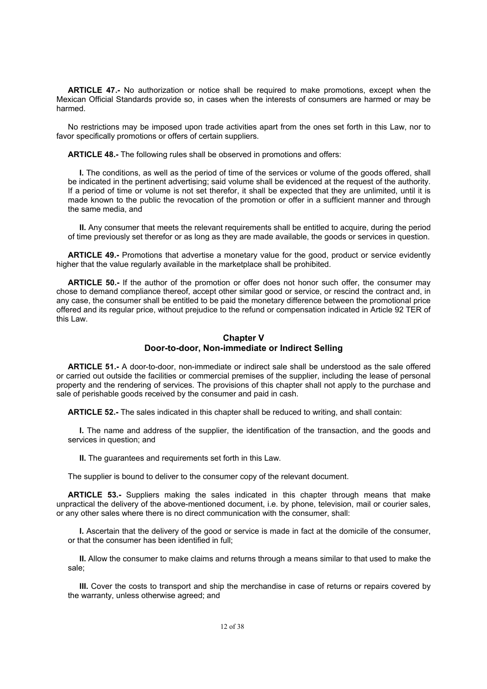**ARTICLE 47.-** No authorization or notice shall be required to make promotions, except when the Mexican Official Standards provide so, in cases when the interests of consumers are harmed or may be harmed.

No restrictions may be imposed upon trade activities apart from the ones set forth in this Law, nor to favor specifically promotions or offers of certain suppliers.

**ARTICLE 48.-** The following rules shall be observed in promotions and offers:

**I.** The conditions, as well as the period of time of the services or volume of the goods offered, shall be indicated in the pertinent advertising; said volume shall be evidenced at the request of the authority. If a period of time or volume is not set therefor, it shall be expected that they are unlimited, until it is made known to the public the revocation of the promotion or offer in a sufficient manner and through the same media, and

**II.** Any consumer that meets the relevant requirements shall be entitled to acquire, during the period of time previously set therefor or as long as they are made available, the goods or services in question.

**ARTICLE 49.-** Promotions that advertise a monetary value for the good, product or service evidently higher that the value regularly available in the marketplace shall be prohibited.

**ARTICLE 50.-** If the author of the promotion or offer does not honor such offer, the consumer may chose to demand compliance thereof, accept other similar good or service, or rescind the contract and, in any case, the consumer shall be entitled to be paid the monetary difference between the promotional price offered and its regular price, without prejudice to the refund or compensation indicated in Article 92 TER of this Law.

## **Chapter V Door-to-door, Non-immediate or Indirect Selling**

**ARTICLE 51.-** A door-to-door, non-immediate or indirect sale shall be understood as the sale offered or carried out outside the facilities or commercial premises of the supplier, including the lease of personal property and the rendering of services. The provisions of this chapter shall not apply to the purchase and sale of perishable goods received by the consumer and paid in cash.

**ARTICLE 52.-** The sales indicated in this chapter shall be reduced to writing, and shall contain:

**I.** The name and address of the supplier, the identification of the transaction, and the goods and services in question; and

**II.** The guarantees and requirements set forth in this Law.

The supplier is bound to deliver to the consumer copy of the relevant document.

**ARTICLE 53.-** Suppliers making the sales indicated in this chapter through means that make unpractical the delivery of the above-mentioned document, i.e. by phone, television, mail or courier sales, or any other sales where there is no direct communication with the consumer, shall:

**I.** Ascertain that the delivery of the good or service is made in fact at the domicile of the consumer, or that the consumer has been identified in full;

**II.** Allow the consumer to make claims and returns through a means similar to that used to make the sale;

**III.** Cover the costs to transport and ship the merchandise in case of returns or repairs covered by the warranty, unless otherwise agreed; and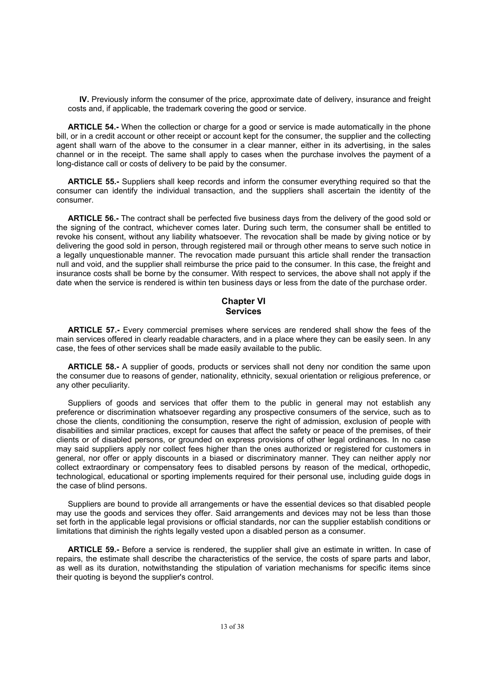**IV.** Previously inform the consumer of the price, approximate date of delivery, insurance and freight costs and, if applicable, the trademark covering the good or service.

**ARTICLE 54.-** When the collection or charge for a good or service is made automatically in the phone bill, or in a credit account or other receipt or account kept for the consumer, the supplier and the collecting agent shall warn of the above to the consumer in a clear manner, either in its advertising, in the sales channel or in the receipt. The same shall apply to cases when the purchase involves the payment of a long-distance call or costs of delivery to be paid by the consumer.

**ARTICLE 55.-** Suppliers shall keep records and inform the consumer everything required so that the consumer can identify the individual transaction, and the suppliers shall ascertain the identity of the consumer.

**ARTICLE 56.-** The contract shall be perfected five business days from the delivery of the good sold or the signing of the contract, whichever comes later. During such term, the consumer shall be entitled to revoke his consent, without any liability whatsoever. The revocation shall be made by giving notice or by delivering the good sold in person, through registered mail or through other means to serve such notice in a legally unquestionable manner. The revocation made pursuant this article shall render the transaction null and void, and the supplier shall reimburse the price paid to the consumer. In this case, the freight and insurance costs shall be borne by the consumer. With respect to services, the above shall not apply if the date when the service is rendered is within ten business days or less from the date of the purchase order.

## **Chapter VI Services**

**ARTICLE 57.-** Every commercial premises where services are rendered shall show the fees of the main services offered in clearly readable characters, and in a place where they can be easily seen. In any case, the fees of other services shall be made easily available to the public.

**ARTICLE 58.-** A supplier of goods, products or services shall not deny nor condition the same upon the consumer due to reasons of gender, nationality, ethnicity, sexual orientation or religious preference, or any other peculiarity.

Suppliers of goods and services that offer them to the public in general may not establish any preference or discrimination whatsoever regarding any prospective consumers of the service, such as to chose the clients, conditioning the consumption, reserve the right of admission, exclusion of people with disabilities and similar practices, except for causes that affect the safety or peace of the premises, of their clients or of disabled persons, or grounded on express provisions of other legal ordinances. In no case may said suppliers apply nor collect fees higher than the ones authorized or registered for customers in general, nor offer or apply discounts in a biased or discriminatory manner. They can neither apply nor collect extraordinary or compensatory fees to disabled persons by reason of the medical, orthopedic, technological, educational or sporting implements required for their personal use, including guide dogs in the case of blind persons.

Suppliers are bound to provide all arrangements or have the essential devices so that disabled people may use the goods and services they offer. Said arrangements and devices may not be less than those set forth in the applicable legal provisions or official standards, nor can the supplier establish conditions or limitations that diminish the rights legally vested upon a disabled person as a consumer.

**ARTICLE 59.-** Before a service is rendered, the supplier shall give an estimate in written. In case of repairs, the estimate shall describe the characteristics of the service, the costs of spare parts and labor, as well as its duration, notwithstanding the stipulation of variation mechanisms for specific items since their quoting is beyond the supplier's control.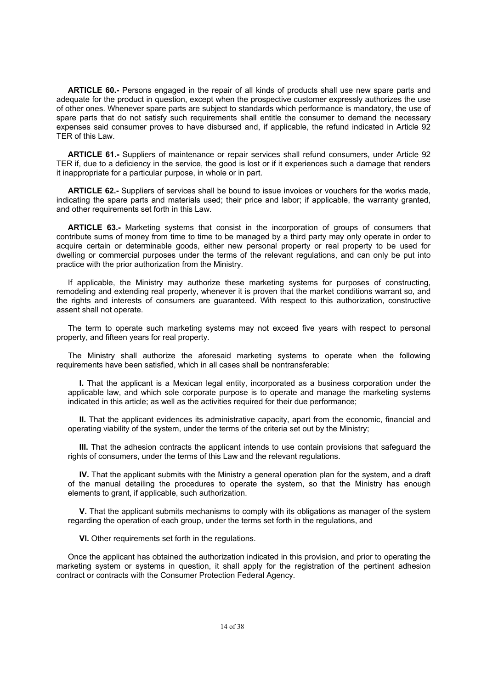**ARTICLE 60.-** Persons engaged in the repair of all kinds of products shall use new spare parts and adequate for the product in question, except when the prospective customer expressly authorizes the use of other ones. Whenever spare parts are subject to standards which performance is mandatory, the use of spare parts that do not satisfy such requirements shall entitle the consumer to demand the necessary expenses said consumer proves to have disbursed and, if applicable, the refund indicated in Article 92 TER of this Law.

**ARTICLE 61.-** Suppliers of maintenance or repair services shall refund consumers, under Article 92 TER if, due to a deficiency in the service, the good is lost or if it experiences such a damage that renders it inappropriate for a particular purpose, in whole or in part.

**ARTICLE 62.-** Suppliers of services shall be bound to issue invoices or vouchers for the works made, indicating the spare parts and materials used; their price and labor; if applicable, the warranty granted, and other requirements set forth in this Law.

**ARTICLE 63.-** Marketing systems that consist in the incorporation of groups of consumers that contribute sums of money from time to time to be managed by a third party may only operate in order to acquire certain or determinable goods, either new personal property or real property to be used for dwelling or commercial purposes under the terms of the relevant regulations, and can only be put into practice with the prior authorization from the Ministry.

If applicable, the Ministry may authorize these marketing systems for purposes of constructing, remodeling and extending real property, whenever it is proven that the market conditions warrant so, and the rights and interests of consumers are guaranteed. With respect to this authorization, constructive assent shall not operate.

The term to operate such marketing systems may not exceed five years with respect to personal property, and fifteen years for real property.

The Ministry shall authorize the aforesaid marketing systems to operate when the following requirements have been satisfied, which in all cases shall be nontransferable:

**I.** That the applicant is a Mexican legal entity, incorporated as a business corporation under the applicable law, and which sole corporate purpose is to operate and manage the marketing systems indicated in this article; as well as the activities required for their due performance;

**II.** That the applicant evidences its administrative capacity, apart from the economic, financial and operating viability of the system, under the terms of the criteria set out by the Ministry;

**III.** That the adhesion contracts the applicant intends to use contain provisions that safeguard the rights of consumers, under the terms of this Law and the relevant regulations.

**IV.** That the applicant submits with the Ministry a general operation plan for the system, and a draft of the manual detailing the procedures to operate the system, so that the Ministry has enough elements to grant, if applicable, such authorization.

**V.** That the applicant submits mechanisms to comply with its obligations as manager of the system regarding the operation of each group, under the terms set forth in the regulations, and

**VI.** Other requirements set forth in the regulations.

Once the applicant has obtained the authorization indicated in this provision, and prior to operating the marketing system or systems in question, it shall apply for the registration of the pertinent adhesion contract or contracts with the Consumer Protection Federal Agency.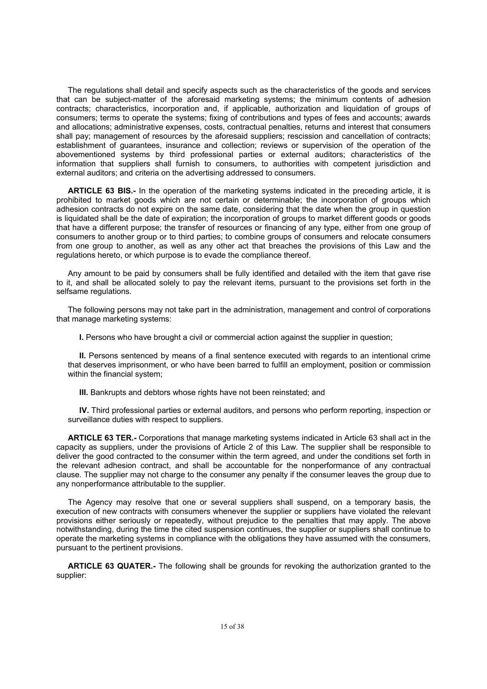The regulations shall detail and specify aspects such as the characteristics of the goods and services that can be subject-matter of the aforesaid marketing systems; the minimum contents of adhesion contracts; characteristics, incorporation and, if applicable, authorization and liquidation of groups of consumers; terms to operate the systems; fixing of contributions and types of fees and accounts; awards and allocations; administrative expenses, costs, contractual penalties, returns and interest that consumers shall pay; management of resources by the aforesaid suppliers; rescission and cancellation of contracts; establishment of guarantees, insurance and collection; reviews or supervision of the operation of the abovementioned systems by third professional parties or external auditors; characteristics of the information that suppliers shall furnish to consumers, to authorities with competent jurisdiction and external auditors; and criteria on the advertising addressed to consumers.

**ARTICLE 63 BIS.-** In the operation of the marketing systems indicated in the preceding article, it is prohibited to market goods which are not certain or determinable; the incorporation of groups which adhesion contracts do not expire on the same date, considering that the date when the group in question is liquidated shall be the date of expiration; the incorporation of groups to market different goods or goods that have a different purpose; the transfer of resources or financing of any type, either from one group of consumers to another group or to third parties; to combine groups of consumers and relocate consumers from one group to another, as well as any other act that breaches the provisions of this Law and the regulations hereto, or which purpose is to evade the compliance thereof.

Any amount to be paid by consumers shall be fully identified and detailed with the item that gave rise to it, and shall be allocated solely to pay the relevant items, pursuant to the provisions set forth in the selfsame regulations.

The following persons may not take part in the administration, management and control of corporations that manage marketing systems:

**I.** Persons who have brought a civil or commercial action against the supplier in question;

**II.** Persons sentenced by means of a final sentence executed with regards to an intentional crime that deserves imprisonment, or who have been barred to fulfill an employment, position or commission within the financial system;

**III.** Bankrupts and debtors whose rights have not been reinstated; and

**IV.** Third professional parties or external auditors, and persons who perform reporting, inspection or surveillance duties with respect to suppliers.

**ARTICLE 63 TER.-** Corporations that manage marketing systems indicated in Article 63 shall act in the capacity as suppliers, under the provisions of Article 2 of this Law. The supplier shall be responsible to deliver the good contracted to the consumer within the term agreed, and under the conditions set forth in the relevant adhesion contract, and shall be accountable for the nonperformance of any contractual clause. The supplier may not charge to the consumer any penalty if the consumer leaves the group due to any nonperformance attributable to the supplier.

The Agency may resolve that one or several suppliers shall suspend, on a temporary basis, the execution of new contracts with consumers whenever the supplier or suppliers have violated the relevant provisions either seriously or repeatedly, without prejudice to the penalties that may apply. The above notwithstanding, during the time the cited suspension continues, the supplier or suppliers shall continue to operate the marketing systems in compliance with the obligations they have assumed with the consumers, pursuant to the pertinent provisions.

**ARTICLE 63 QUATER.-** The following shall be grounds for revoking the authorization granted to the supplier: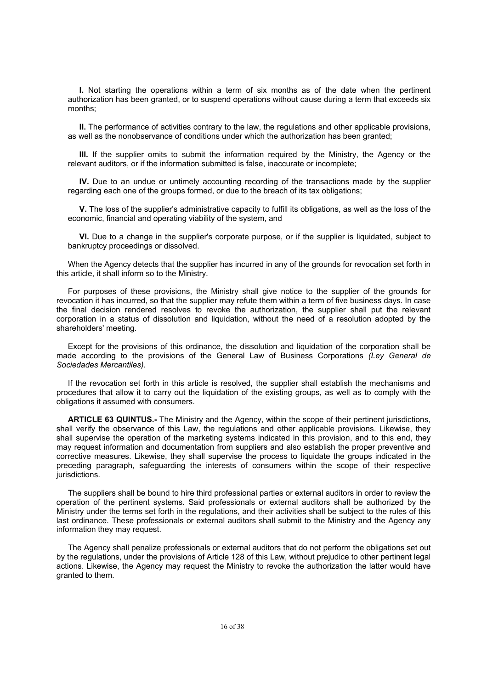**I.** Not starting the operations within a term of six months as of the date when the pertinent authorization has been granted, or to suspend operations without cause during a term that exceeds six months;

**II.** The performance of activities contrary to the law, the regulations and other applicable provisions, as well as the nonobservance of conditions under which the authorization has been granted;

**III.** If the supplier omits to submit the information required by the Ministry, the Agency or the relevant auditors, or if the information submitted is false, inaccurate or incomplete;

**IV.** Due to an undue or untimely accounting recording of the transactions made by the supplier regarding each one of the groups formed, or due to the breach of its tax obligations;

**V.** The loss of the supplier's administrative capacity to fulfill its obligations, as well as the loss of the economic, financial and operating viability of the system, and

**VI.** Due to a change in the supplier's corporate purpose, or if the supplier is liquidated, subject to bankruptcy proceedings or dissolved.

When the Agency detects that the supplier has incurred in any of the grounds for revocation set forth in this article, it shall inform so to the Ministry.

For purposes of these provisions, the Ministry shall give notice to the supplier of the grounds for revocation it has incurred, so that the supplier may refute them within a term of five business days. In case the final decision rendered resolves to revoke the authorization, the supplier shall put the relevant corporation in a status of dissolution and liquidation, without the need of a resolution adopted by the shareholders' meeting.

Except for the provisions of this ordinance, the dissolution and liquidation of the corporation shall be made according to the provisions of the General Law of Business Corporations *(Ley General de Sociedades Mercantiles).*

If the revocation set forth in this article is resolved, the supplier shall establish the mechanisms and procedures that allow it to carry out the liquidation of the existing groups, as well as to comply with the obligations it assumed with consumers.

**ARTICLE 63 QUINTUS.-** The Ministry and the Agency, within the scope of their pertinent jurisdictions, shall verify the observance of this Law, the regulations and other applicable provisions. Likewise, they shall supervise the operation of the marketing systems indicated in this provision, and to this end, they may request information and documentation from suppliers and also establish the proper preventive and corrective measures. Likewise, they shall supervise the process to liquidate the groups indicated in the preceding paragraph, safeguarding the interests of consumers within the scope of their respective jurisdictions.

The suppliers shall be bound to hire third professional parties or external auditors in order to review the operation of the pertinent systems. Said professionals or external auditors shall be authorized by the Ministry under the terms set forth in the regulations, and their activities shall be subject to the rules of this last ordinance. These professionals or external auditors shall submit to the Ministry and the Agency any information they may request.

The Agency shall penalize professionals or external auditors that do not perform the obligations set out by the regulations, under the provisions of Article 128 of this Law, without prejudice to other pertinent legal actions. Likewise, the Agency may request the Ministry to revoke the authorization the latter would have granted to them.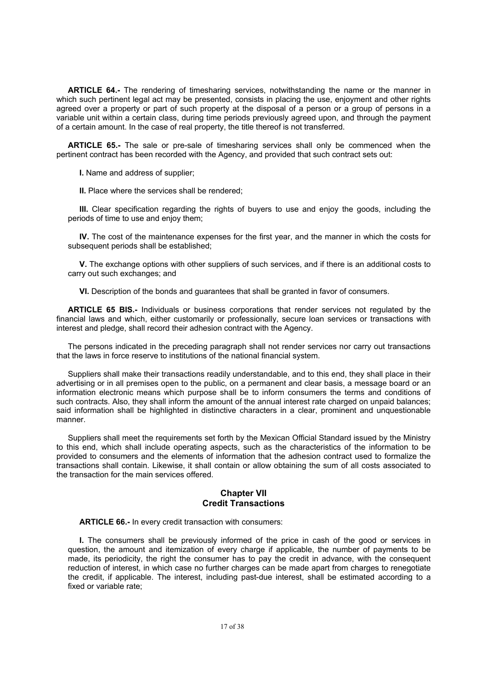**ARTICLE 64.-** The rendering of timesharing services, notwithstanding the name or the manner in which such pertinent legal act may be presented, consists in placing the use, enjoyment and other rights agreed over a property or part of such property at the disposal of a person or a group of persons in a variable unit within a certain class, during time periods previously agreed upon, and through the payment of a certain amount. In the case of real property, the title thereof is not transferred.

**ARTICLE 65.-** The sale or pre-sale of timesharing services shall only be commenced when the pertinent contract has been recorded with the Agency, and provided that such contract sets out:

**I.** Name and address of supplier;

**II.** Place where the services shall be rendered;

**III.** Clear specification regarding the rights of buyers to use and enjoy the goods, including the periods of time to use and enjoy them;

**IV.** The cost of the maintenance expenses for the first year, and the manner in which the costs for subsequent periods shall be established:

**V.** The exchange options with other suppliers of such services, and if there is an additional costs to carry out such exchanges; and

**VI.** Description of the bonds and guarantees that shall be granted in favor of consumers.

**ARTICLE 65 BIS.-** Individuals or business corporations that render services not regulated by the financial laws and which, either customarily or professionally, secure loan services or transactions with interest and pledge, shall record their adhesion contract with the Agency.

The persons indicated in the preceding paragraph shall not render services nor carry out transactions that the laws in force reserve to institutions of the national financial system.

Suppliers shall make their transactions readily understandable, and to this end, they shall place in their advertising or in all premises open to the public, on a permanent and clear basis, a message board or an information electronic means which purpose shall be to inform consumers the terms and conditions of such contracts. Also, they shall inform the amount of the annual interest rate charged on unpaid balances; said information shall be highlighted in distinctive characters in a clear, prominent and unquestionable manner.

Suppliers shall meet the requirements set forth by the Mexican Official Standard issued by the Ministry to this end, which shall include operating aspects, such as the characteristics of the information to be provided to consumers and the elements of information that the adhesion contract used to formalize the transactions shall contain. Likewise, it shall contain or allow obtaining the sum of all costs associated to the transaction for the main services offered.

## **Chapter VII Credit Transactions**

**ARTICLE 66.-** In every credit transaction with consumers:

**I.** The consumers shall be previously informed of the price in cash of the good or services in question, the amount and itemization of every charge if applicable, the number of payments to be made, its periodicity, the right the consumer has to pay the credit in advance, with the consequent reduction of interest, in which case no further charges can be made apart from charges to renegotiate the credit, if applicable. The interest, including past-due interest, shall be estimated according to a fixed or variable rate;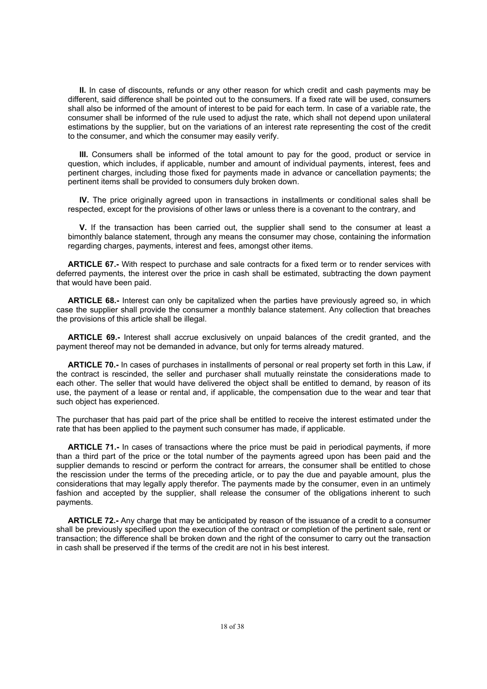**II.** In case of discounts, refunds or any other reason for which credit and cash payments may be different, said difference shall be pointed out to the consumers. If a fixed rate will be used, consumers shall also be informed of the amount of interest to be paid for each term. In case of a variable rate, the consumer shall be informed of the rule used to adjust the rate, which shall not depend upon unilateral estimations by the supplier, but on the variations of an interest rate representing the cost of the credit to the consumer, and which the consumer may easily verify.

**III.** Consumers shall be informed of the total amount to pay for the good, product or service in question, which includes, if applicable, number and amount of individual payments, interest, fees and pertinent charges, including those fixed for payments made in advance or cancellation payments; the pertinent items shall be provided to consumers duly broken down.

**IV.** The price originally agreed upon in transactions in installments or conditional sales shall be respected, except for the provisions of other laws or unless there is a covenant to the contrary, and

**V.** If the transaction has been carried out, the supplier shall send to the consumer at least a bimonthly balance statement, through any means the consumer may chose, containing the information regarding charges, payments, interest and fees, amongst other items.

**ARTICLE 67.-** With respect to purchase and sale contracts for a fixed term or to render services with deferred payments, the interest over the price in cash shall be estimated, subtracting the down payment that would have been paid.

**ARTICLE 68.-** Interest can only be capitalized when the parties have previously agreed so, in which case the supplier shall provide the consumer a monthly balance statement. Any collection that breaches the provisions of this article shall be illegal.

**ARTICLE 69.-** Interest shall accrue exclusively on unpaid balances of the credit granted, and the payment thereof may not be demanded in advance, but only for terms already matured.

**ARTICLE 70.-** In cases of purchases in installments of personal or real property set forth in this Law, if the contract is rescinded, the seller and purchaser shall mutually reinstate the considerations made to each other. The seller that would have delivered the object shall be entitled to demand, by reason of its use, the payment of a lease or rental and, if applicable, the compensation due to the wear and tear that such object has experienced.

The purchaser that has paid part of the price shall be entitled to receive the interest estimated under the rate that has been applied to the payment such consumer has made, if applicable.

**ARTICLE 71.-** In cases of transactions where the price must be paid in periodical payments, if more than a third part of the price or the total number of the payments agreed upon has been paid and the supplier demands to rescind or perform the contract for arrears, the consumer shall be entitled to chose the rescission under the terms of the preceding article, or to pay the due and payable amount, plus the considerations that may legally apply therefor. The payments made by the consumer, even in an untimely fashion and accepted by the supplier, shall release the consumer of the obligations inherent to such payments.

**ARTICLE 72.-** Any charge that may be anticipated by reason of the issuance of a credit to a consumer shall be previously specified upon the execution of the contract or completion of the pertinent sale, rent or transaction; the difference shall be broken down and the right of the consumer to carry out the transaction in cash shall be preserved if the terms of the credit are not in his best interest.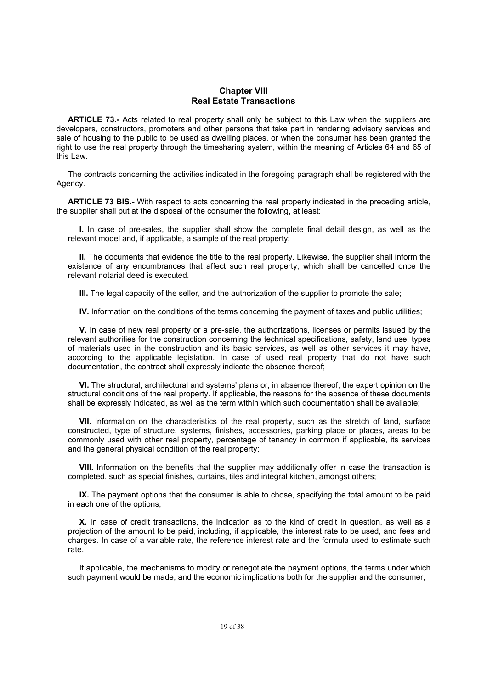### **Chapter VIII Real Estate Transactions**

**ARTICLE 73.-** Acts related to real property shall only be subject to this Law when the suppliers are developers, constructors, promoters and other persons that take part in rendering advisory services and sale of housing to the public to be used as dwelling places, or when the consumer has been granted the right to use the real property through the timesharing system, within the meaning of Articles 64 and 65 of this Law.

The contracts concerning the activities indicated in the foregoing paragraph shall be registered with the Agency.

**ARTICLE 73 BIS.-** With respect to acts concerning the real property indicated in the preceding article, the supplier shall put at the disposal of the consumer the following, at least:

**I.** In case of pre-sales, the supplier shall show the complete final detail design, as well as the relevant model and, if applicable, a sample of the real property;

**II.** The documents that evidence the title to the real property. Likewise, the supplier shall inform the existence of any encumbrances that affect such real property, which shall be cancelled once the relevant notarial deed is executed.

**III.** The legal capacity of the seller, and the authorization of the supplier to promote the sale;

**IV.** Information on the conditions of the terms concerning the payment of taxes and public utilities;

**V.** In case of new real property or a pre-sale, the authorizations, licenses or permits issued by the relevant authorities for the construction concerning the technical specifications, safety, land use, types of materials used in the construction and its basic services, as well as other services it may have, according to the applicable legislation. In case of used real property that do not have such documentation, the contract shall expressly indicate the absence thereof;

**VI.** The structural, architectural and systems' plans or, in absence thereof, the expert opinion on the structural conditions of the real property. If applicable, the reasons for the absence of these documents shall be expressly indicated, as well as the term within which such documentation shall be available;

**VII.** Information on the characteristics of the real property, such as the stretch of land, surface constructed, type of structure, systems, finishes, accessories, parking place or places, areas to be commonly used with other real property, percentage of tenancy in common if applicable, its services and the general physical condition of the real property;

**VIII.** Information on the benefits that the supplier may additionally offer in case the transaction is completed, such as special finishes, curtains, tiles and integral kitchen, amongst others;

**IX.** The payment options that the consumer is able to chose, specifying the total amount to be paid in each one of the options;

**X.** In case of credit transactions, the indication as to the kind of credit in question, as well as a projection of the amount to be paid, including, if applicable, the interest rate to be used, and fees and charges. In case of a variable rate, the reference interest rate and the formula used to estimate such rate.

If applicable, the mechanisms to modify or renegotiate the payment options, the terms under which such payment would be made, and the economic implications both for the supplier and the consumer;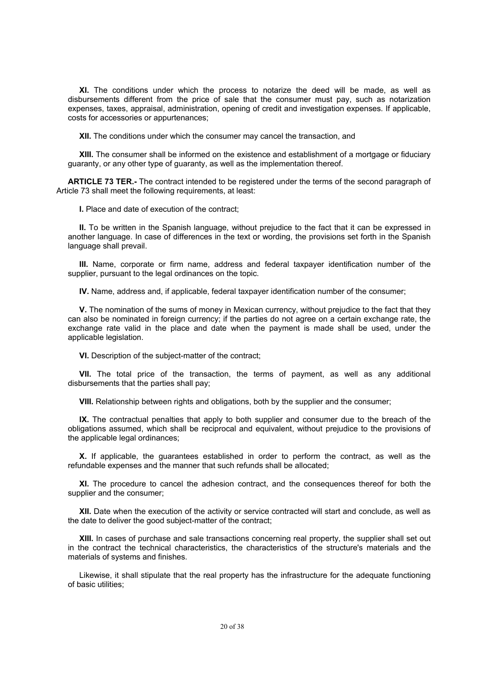**XI.** The conditions under which the process to notarize the deed will be made, as well as disbursements different from the price of sale that the consumer must pay, such as notarization expenses, taxes, appraisal, administration, opening of credit and investigation expenses. If applicable, costs for accessories or appurtenances;

**XII.** The conditions under which the consumer may cancel the transaction, and

**XIII.** The consumer shall be informed on the existence and establishment of a mortgage or fiduciary guaranty, or any other type of guaranty, as well as the implementation thereof.

**ARTICLE 73 TER.-** The contract intended to be registered under the terms of the second paragraph of Article 73 shall meet the following requirements, at least:

**I.** Place and date of execution of the contract;

**II.** To be written in the Spanish language, without prejudice to the fact that it can be expressed in another language. In case of differences in the text or wording, the provisions set forth in the Spanish language shall prevail.

**III.** Name, corporate or firm name, address and federal taxpayer identification number of the supplier, pursuant to the legal ordinances on the topic.

**IV.** Name, address and, if applicable, federal taxpayer identification number of the consumer;

**V.** The nomination of the sums of money in Mexican currency, without prejudice to the fact that they can also be nominated in foreign currency; if the parties do not agree on a certain exchange rate, the exchange rate valid in the place and date when the payment is made shall be used, under the applicable legislation.

**VI.** Description of the subject-matter of the contract;

**VII.** The total price of the transaction, the terms of payment, as well as any additional disbursements that the parties shall pay;

**VIII.** Relationship between rights and obligations, both by the supplier and the consumer;

**IX.** The contractual penalties that apply to both supplier and consumer due to the breach of the obligations assumed, which shall be reciprocal and equivalent, without prejudice to the provisions of the applicable legal ordinances;

**X.** If applicable, the guarantees established in order to perform the contract, as well as the refundable expenses and the manner that such refunds shall be allocated;

**XI.** The procedure to cancel the adhesion contract, and the consequences thereof for both the supplier and the consumer;

**XII.** Date when the execution of the activity or service contracted will start and conclude, as well as the date to deliver the good subject-matter of the contract;

**XIII.** In cases of purchase and sale transactions concerning real property, the supplier shall set out in the contract the technical characteristics, the characteristics of the structure's materials and the materials of systems and finishes.

Likewise, it shall stipulate that the real property has the infrastructure for the adequate functioning of basic utilities;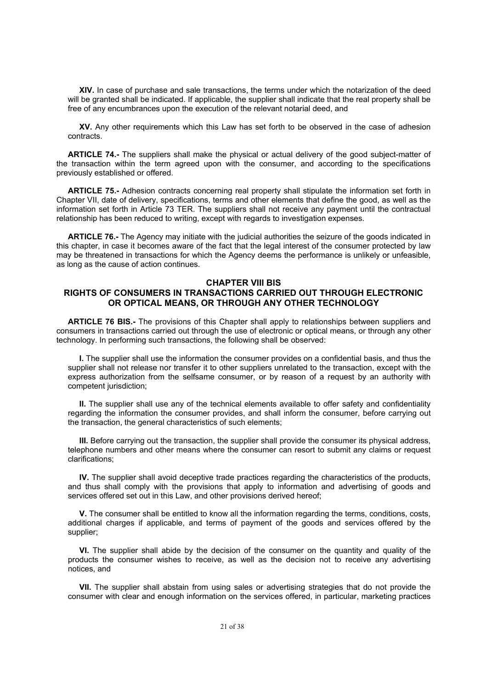**XIV.** In case of purchase and sale transactions, the terms under which the notarization of the deed will be granted shall be indicated. If applicable, the supplier shall indicate that the real property shall be free of any encumbrances upon the execution of the relevant notarial deed, and

**XV.** Any other requirements which this Law has set forth to be observed in the case of adhesion contracts.

**ARTICLE 74.-** The suppliers shall make the physical or actual delivery of the good subject-matter of the transaction within the term agreed upon with the consumer, and according to the specifications previously established or offered.

**ARTICLE 75.-** Adhesion contracts concerning real property shall stipulate the information set forth in Chapter VII, date of delivery, specifications, terms and other elements that define the good, as well as the information set forth in Article 73 TER. The suppliers shall not receive any payment until the contractual relationship has been reduced to writing, except with regards to investigation expenses.

**ARTICLE 76.-** The Agency may initiate with the judicial authorities the seizure of the goods indicated in this chapter, in case it becomes aware of the fact that the legal interest of the consumer protected by law may be threatened in transactions for which the Agency deems the performance is unlikely or unfeasible, as long as the cause of action continues.

#### **CHAPTER VIII BIS**

## **RIGHTS OF CONSUMERS IN TRANSACTIONS CARRIED OUT THROUGH ELECTRONIC OR OPTICAL MEANS, OR THROUGH ANY OTHER TECHNOLOGY**

**ARTICLE 76 BIS.-** The provisions of this Chapter shall apply to relationships between suppliers and consumers in transactions carried out through the use of electronic or optical means, or through any other technology. In performing such transactions, the following shall be observed:

**I.** The supplier shall use the information the consumer provides on a confidential basis, and thus the supplier shall not release nor transfer it to other suppliers unrelated to the transaction, except with the express authorization from the selfsame consumer, or by reason of a request by an authority with competent jurisdiction;

**II.** The supplier shall use any of the technical elements available to offer safety and confidentiality regarding the information the consumer provides, and shall inform the consumer, before carrying out the transaction, the general characteristics of such elements;

**III.** Before carrying out the transaction, the supplier shall provide the consumer its physical address, telephone numbers and other means where the consumer can resort to submit any claims or request clarifications;

**IV.** The supplier shall avoid deceptive trade practices regarding the characteristics of the products, and thus shall comply with the provisions that apply to information and advertising of goods and services offered set out in this Law, and other provisions derived hereof;

**V.** The consumer shall be entitled to know all the information regarding the terms, conditions, costs, additional charges if applicable, and terms of payment of the goods and services offered by the supplier;

**VI.** The supplier shall abide by the decision of the consumer on the quantity and quality of the products the consumer wishes to receive, as well as the decision not to receive any advertising notices, and

**VII.** The supplier shall abstain from using sales or advertising strategies that do not provide the consumer with clear and enough information on the services offered, in particular, marketing practices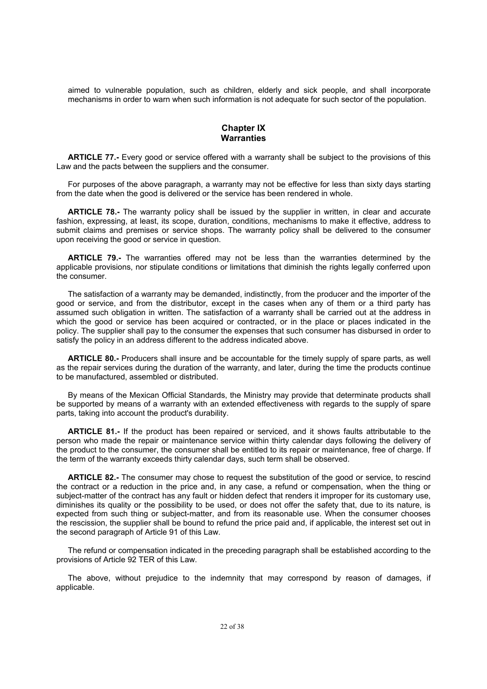aimed to vulnerable population, such as children, elderly and sick people, and shall incorporate mechanisms in order to warn when such information is not adequate for such sector of the population.

## **Chapter IX Warranties**

**ARTICLE 77.-** Every good or service offered with a warranty shall be subject to the provisions of this Law and the pacts between the suppliers and the consumer.

For purposes of the above paragraph, a warranty may not be effective for less than sixty days starting from the date when the good is delivered or the service has been rendered in whole.

**ARTICLE 78.-** The warranty policy shall be issued by the supplier in written, in clear and accurate fashion, expressing, at least, its scope, duration, conditions, mechanisms to make it effective, address to submit claims and premises or service shops. The warranty policy shall be delivered to the consumer upon receiving the good or service in question.

**ARTICLE 79.-** The warranties offered may not be less than the warranties determined by the applicable provisions, nor stipulate conditions or limitations that diminish the rights legally conferred upon the consumer.

The satisfaction of a warranty may be demanded, indistinctly, from the producer and the importer of the good or service, and from the distributor, except in the cases when any of them or a third party has assumed such obligation in written. The satisfaction of a warranty shall be carried out at the address in which the good or service has been acquired or contracted, or in the place or places indicated in the policy. The supplier shall pay to the consumer the expenses that such consumer has disbursed in order to satisfy the policy in an address different to the address indicated above.

**ARTICLE 80.-** Producers shall insure and be accountable for the timely supply of spare parts, as well as the repair services during the duration of the warranty, and later, during the time the products continue to be manufactured, assembled or distributed.

By means of the Mexican Official Standards, the Ministry may provide that determinate products shall be supported by means of a warranty with an extended effectiveness with regards to the supply of spare parts, taking into account the product's durability.

**ARTICLE 81.-** If the product has been repaired or serviced, and it shows faults attributable to the person who made the repair or maintenance service within thirty calendar days following the delivery of the product to the consumer, the consumer shall be entitled to its repair or maintenance, free of charge. If the term of the warranty exceeds thirty calendar days, such term shall be observed.

**ARTICLE 82.-** The consumer may chose to request the substitution of the good or service, to rescind the contract or a reduction in the price and, in any case, a refund or compensation, when the thing or subject-matter of the contract has any fault or hidden defect that renders it improper for its customary use, diminishes its quality or the possibility to be used, or does not offer the safety that, due to its nature, is expected from such thing or subject-matter, and from its reasonable use. When the consumer chooses the rescission, the supplier shall be bound to refund the price paid and, if applicable, the interest set out in the second paragraph of Article 91 of this Law.

The refund or compensation indicated in the preceding paragraph shall be established according to the provisions of Article 92 TER of this Law.

The above, without prejudice to the indemnity that may correspond by reason of damages, if applicable.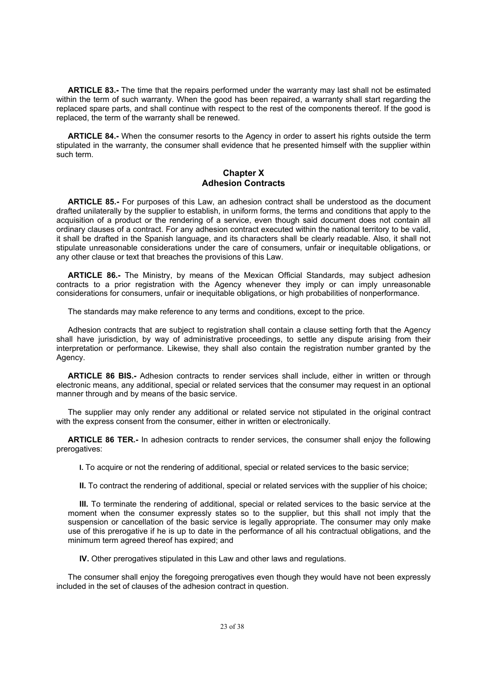**ARTICLE 83.-** The time that the repairs performed under the warranty may last shall not be estimated within the term of such warranty. When the good has been repaired, a warranty shall start regarding the replaced spare parts, and shall continue with respect to the rest of the components thereof. If the good is replaced, the term of the warranty shall be renewed.

**ARTICLE 84.-** When the consumer resorts to the Agency in order to assert his rights outside the term stipulated in the warranty, the consumer shall evidence that he presented himself with the supplier within such term.

# **Chapter X Adhesion Contracts**

**ARTICLE 85.-** For purposes of this Law, an adhesion contract shall be understood as the document drafted unilaterally by the supplier to establish, in uniform forms, the terms and conditions that apply to the acquisition of a product or the rendering of a service, even though said document does not contain all ordinary clauses of a contract. For any adhesion contract executed within the national territory to be valid, it shall be drafted in the Spanish language, and its characters shall be clearly readable. Also, it shall not stipulate unreasonable considerations under the care of consumers, unfair or inequitable obligations, or any other clause or text that breaches the provisions of this Law.

**ARTICLE 86.-** The Ministry, by means of the Mexican Official Standards, may subject adhesion contracts to a prior registration with the Agency whenever they imply or can imply unreasonable considerations for consumers, unfair or inequitable obligations, or high probabilities of nonperformance.

The standards may make reference to any terms and conditions, except to the price.

Adhesion contracts that are subject to registration shall contain a clause setting forth that the Agency shall have iurisdiction, by way of administrative proceedings, to settle any dispute arising from their interpretation or performance. Likewise, they shall also contain the registration number granted by the Agency.

**ARTICLE 86 BIS.-** Adhesion contracts to render services shall include, either in written or through electronic means, any additional, special or related services that the consumer may request in an optional manner through and by means of the basic service.

The supplier may only render any additional or related service not stipulated in the original contract with the express consent from the consumer, either in written or electronically.

**ARTICLE 86 TER.-** In adhesion contracts to render services, the consumer shall enjoy the following prerogatives:

**I.** To acquire or not the rendering of additional, special or related services to the basic service;

**II.** To contract the rendering of additional, special or related services with the supplier of his choice;

**III.** To terminate the rendering of additional, special or related services to the basic service at the moment when the consumer expressly states so to the supplier, but this shall not imply that the suspension or cancellation of the basic service is legally appropriate. The consumer may only make use of this prerogative if he is up to date in the performance of all his contractual obligations, and the minimum term agreed thereof has expired; and

**IV.** Other prerogatives stipulated in this Law and other laws and regulations.

The consumer shall enjoy the foregoing prerogatives even though they would have not been expressly included in the set of clauses of the adhesion contract in question.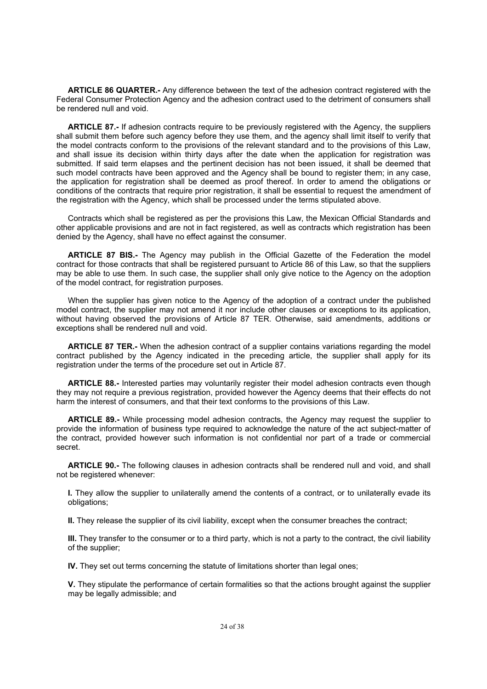**ARTICLE 86 QUARTER.-** Any difference between the text of the adhesion contract registered with the Federal Consumer Protection Agency and the adhesion contract used to the detriment of consumers shall be rendered null and void.

**ARTICLE 87.-** If adhesion contracts require to be previously registered with the Agency, the suppliers shall submit them before such agency before they use them, and the agency shall limit itself to verify that the model contracts conform to the provisions of the relevant standard and to the provisions of this Law, and shall issue its decision within thirty days after the date when the application for registration was submitted. If said term elapses and the pertinent decision has not been issued, it shall be deemed that such model contracts have been approved and the Agency shall be bound to register them; in any case, the application for registration shall be deemed as proof thereof. In order to amend the obligations or conditions of the contracts that require prior registration, it shall be essential to request the amendment of the registration with the Agency, which shall be processed under the terms stipulated above.

Contracts which shall be registered as per the provisions this Law, the Mexican Official Standards and other applicable provisions and are not in fact registered, as well as contracts which registration has been denied by the Agency, shall have no effect against the consumer.

**ARTICLE 87 BIS.-** The Agency may publish in the Official Gazette of the Federation the model contract for those contracts that shall be registered pursuant to Article 86 of this Law, so that the suppliers may be able to use them. In such case, the supplier shall only give notice to the Agency on the adoption of the model contract, for registration purposes.

When the supplier has given notice to the Agency of the adoption of a contract under the published model contract, the supplier may not amend it nor include other clauses or exceptions to its application, without having observed the provisions of Article 87 TER. Otherwise, said amendments, additions or exceptions shall be rendered null and void.

**ARTICLE 87 TER.-** When the adhesion contract of a supplier contains variations regarding the model contract published by the Agency indicated in the preceding article, the supplier shall apply for its registration under the terms of the procedure set out in Article 87.

**ARTICLE 88.-** Interested parties may voluntarily register their model adhesion contracts even though they may not require a previous registration, provided however the Agency deems that their effects do not harm the interest of consumers, and that their text conforms to the provisions of this Law.

**ARTICLE 89.-** While processing model adhesion contracts, the Agency may request the supplier to provide the information of business type required to acknowledge the nature of the act subject-matter of the contract, provided however such information is not confidential nor part of a trade or commercial secret.

**ARTICLE 90.-** The following clauses in adhesion contracts shall be rendered null and void, and shall not be registered whenever:

**I.** They allow the supplier to unilaterally amend the contents of a contract, or to unilaterally evade its obligations;

**II.** They release the supplier of its civil liability, except when the consumer breaches the contract;

**III.** They transfer to the consumer or to a third party, which is not a party to the contract, the civil liability of the supplier;

**IV.** They set out terms concerning the statute of limitations shorter than legal ones;

**V.** They stipulate the performance of certain formalities so that the actions brought against the supplier may be legally admissible; and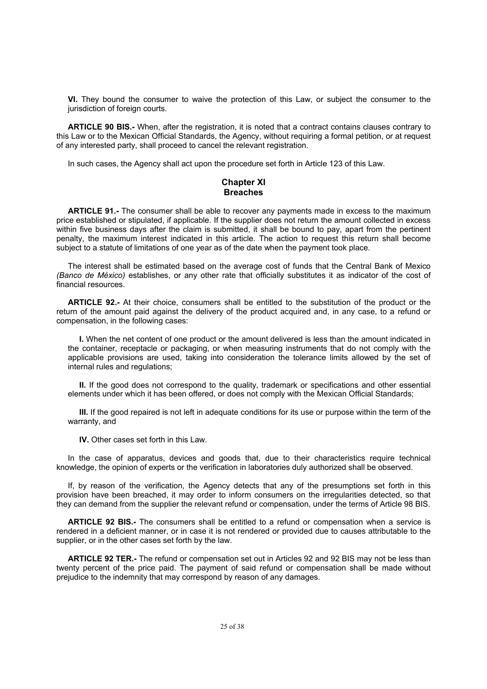**VI.** They bound the consumer to waive the protection of this Law, or subject the consumer to the jurisdiction of foreign courts.

**ARTICLE 90 BIS.-** When, after the registration, it is noted that a contract contains clauses contrary to this Law or to the Mexican Official Standards, the Agency, without requiring a formal petition, or at request of any interested party, shall proceed to cancel the relevant registration.

In such cases, the Agency shall act upon the procedure set forth in Article 123 of this Law.

## **Chapter XI Breaches**

**ARTICLE 91.-** The consumer shall be able to recover any payments made in excess to the maximum price established or stipulated, if applicable. If the supplier does not return the amount collected in excess within five business days after the claim is submitted, it shall be bound to pay, apart from the pertinent penalty, the maximum interest indicated in this article. The action to request this return shall become subject to a statute of limitations of one year as of the date when the payment took place.

The interest shall be estimated based on the average cost of funds that the Central Bank of Mexico *(Banco de México)* establishes, or any other rate that officially substitutes it as indicator of the cost of financial resources.

**ARTICLE 92.-** At their choice, consumers shall be entitled to the substitution of the product or the return of the amount paid against the delivery of the product acquired and, in any case, to a refund or compensation, in the following cases:

**I.** When the net content of one product or the amount delivered is less than the amount indicated in the container, receptacle or packaging, or when measuring instruments that do not comply with the applicable provisions are used, taking into consideration the tolerance limits allowed by the set of internal rules and regulations;

**II.** If the good does not correspond to the quality, trademark or specifications and other essential elements under which it has been offered, or does not comply with the Mexican Official Standards;

**III.** If the good repaired is not left in adequate conditions for its use or purpose within the term of the warranty, and

**IV.** Other cases set forth in this Law.

In the case of apparatus, devices and goods that, due to their characteristics require technical knowledge, the opinion of experts or the verification in laboratories duly authorized shall be observed.

If, by reason of the verification, the Agency detects that any of the presumptions set forth in this provision have been breached, it may order to inform consumers on the irregularities detected, so that they can demand from the supplier the relevant refund or compensation, under the terms of Article 98 BIS.

**ARTICLE 92 BIS.-** The consumers shall be entitled to a refund or compensation when a service is rendered in a deficient manner, or in case it is not rendered or provided due to causes attributable to the supplier, or in the other cases set forth by the law.

**ARTICLE 92 TER.-** The refund or compensation set out in Articles 92 and 92 BIS may not be less than twenty percent of the price paid. The payment of said refund or compensation shall be made without prejudice to the indemnity that may correspond by reason of any damages.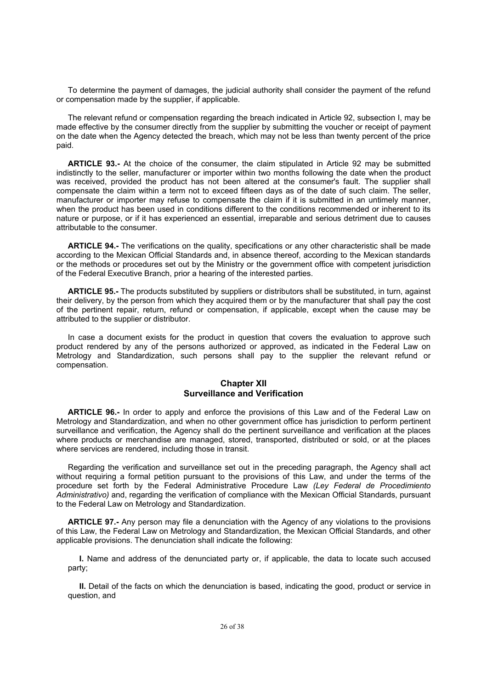To determine the payment of damages, the judicial authority shall consider the payment of the refund or compensation made by the supplier, if applicable.

The relevant refund or compensation regarding the breach indicated in Article 92, subsection I, may be made effective by the consumer directly from the supplier by submitting the voucher or receipt of payment on the date when the Agency detected the breach, which may not be less than twenty percent of the price paid.

**ARTICLE 93.-** At the choice of the consumer, the claim stipulated in Article 92 may be submitted indistinctly to the seller, manufacturer or importer within two months following the date when the product was received, provided the product has not been altered at the consumer's fault. The supplier shall compensate the claim within a term not to exceed fifteen days as of the date of such claim. The seller, manufacturer or importer may refuse to compensate the claim if it is submitted in an untimely manner, when the product has been used in conditions different to the conditions recommended or inherent to its nature or purpose, or if it has experienced an essential, irreparable and serious detriment due to causes attributable to the consumer.

**ARTICLE 94.-** The verifications on the quality, specifications or any other characteristic shall be made according to the Mexican Official Standards and, in absence thereof, according to the Mexican standards or the methods or procedures set out by the Ministry or the government office with competent jurisdiction of the Federal Executive Branch, prior a hearing of the interested parties.

**ARTICLE 95.-** The products substituted by suppliers or distributors shall be substituted, in turn, against their delivery, by the person from which they acquired them or by the manufacturer that shall pay the cost of the pertinent repair, return, refund or compensation, if applicable, except when the cause may be attributed to the supplier or distributor.

In case a document exists for the product in question that covers the evaluation to approve such product rendered by any of the persons authorized or approved, as indicated in the Federal Law on Metrology and Standardization, such persons shall pay to the supplier the relevant refund or compensation.

## **Chapter XII Surveillance and Verification**

**ARTICLE 96.-** In order to apply and enforce the provisions of this Law and of the Federal Law on Metrology and Standardization, and when no other government office has jurisdiction to perform pertinent surveillance and verification, the Agency shall do the pertinent surveillance and verification at the places where products or merchandise are managed, stored, transported, distributed or sold, or at the places where services are rendered, including those in transit.

Regarding the verification and surveillance set out in the preceding paragraph, the Agency shall act without requiring a formal petition pursuant to the provisions of this Law, and under the terms of the procedure set forth by the Federal Administrative Procedure Law *(Ley Federal de Procedimiento Administrativo)* and, regarding the verification of compliance with the Mexican Official Standards, pursuant to the Federal Law on Metrology and Standardization.

**ARTICLE 97.-** Any person may file a denunciation with the Agency of any violations to the provisions of this Law, the Federal Law on Metrology and Standardization, the Mexican Official Standards, and other applicable provisions. The denunciation shall indicate the following:

**I.** Name and address of the denunciated party or, if applicable, the data to locate such accused party;

**II.** Detail of the facts on which the denunciation is based, indicating the good, product or service in question, and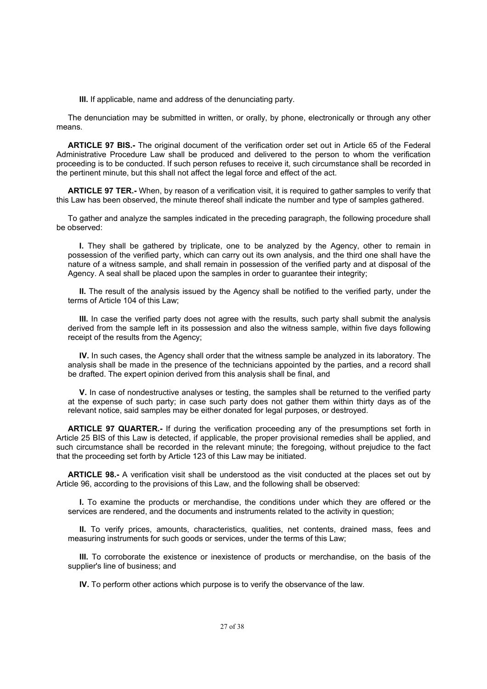**III.** If applicable, name and address of the denunciating party.

The denunciation may be submitted in written, or orally, by phone, electronically or through any other means.

**ARTICLE 97 BIS.-** The original document of the verification order set out in Article 65 of the Federal Administrative Procedure Law shall be produced and delivered to the person to whom the verification proceeding is to be conducted. If such person refuses to receive it, such circumstance shall be recorded in the pertinent minute, but this shall not affect the legal force and effect of the act.

**ARTICLE 97 TER.-** When, by reason of a verification visit, it is required to gather samples to verify that this Law has been observed, the minute thereof shall indicate the number and type of samples gathered.

To gather and analyze the samples indicated in the preceding paragraph, the following procedure shall be observed:

**I.** They shall be gathered by triplicate, one to be analyzed by the Agency, other to remain in possession of the verified party, which can carry out its own analysis, and the third one shall have the nature of a witness sample, and shall remain in possession of the verified party and at disposal of the Agency. A seal shall be placed upon the samples in order to guarantee their integrity;

**II.** The result of the analysis issued by the Agency shall be notified to the verified party, under the terms of Article 104 of this Law;

**III.** In case the verified party does not agree with the results, such party shall submit the analysis derived from the sample left in its possession and also the witness sample, within five days following receipt of the results from the Agency;

**IV.** In such cases, the Agency shall order that the witness sample be analyzed in its laboratory. The analysis shall be made in the presence of the technicians appointed by the parties, and a record shall be drafted. The expert opinion derived from this analysis shall be final, and

**V.** In case of nondestructive analyses or testing, the samples shall be returned to the verified party at the expense of such party; in case such party does not gather them within thirty days as of the relevant notice, said samples may be either donated for legal purposes, or destroyed.

**ARTICLE 97 QUARTER.-** If during the verification proceeding any of the presumptions set forth in Article 25 BIS of this Law is detected, if applicable, the proper provisional remedies shall be applied, and such circumstance shall be recorded in the relevant minute; the foregoing, without prejudice to the fact that the proceeding set forth by Article 123 of this Law may be initiated.

**ARTICLE 98.-** A verification visit shall be understood as the visit conducted at the places set out by Article 96, according to the provisions of this Law, and the following shall be observed:

**I.** To examine the products or merchandise, the conditions under which they are offered or the services are rendered, and the documents and instruments related to the activity in question;

**II.** To verify prices, amounts, characteristics, qualities, net contents, drained mass, fees and measuring instruments for such goods or services, under the terms of this Law;

**III.** To corroborate the existence or inexistence of products or merchandise, on the basis of the supplier's line of business; and

**IV.** To perform other actions which purpose is to verify the observance of the law.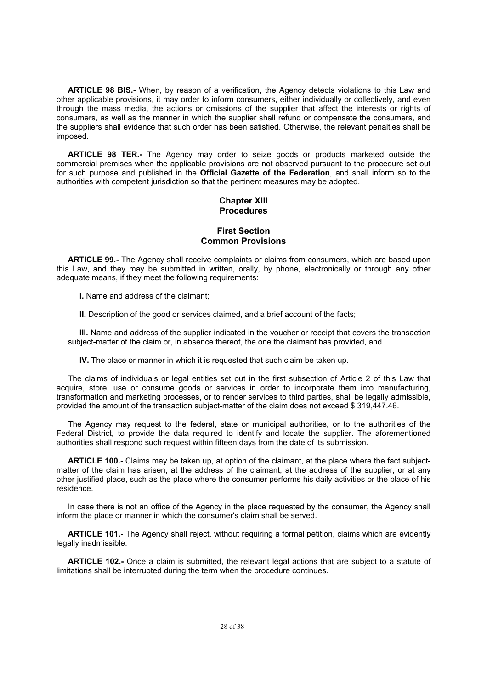**ARTICLE 98 BIS.-** When, by reason of a verification, the Agency detects violations to this Law and other applicable provisions, it may order to inform consumers, either individually or collectively, and even through the mass media, the actions or omissions of the supplier that affect the interests or rights of consumers, as well as the manner in which the supplier shall refund or compensate the consumers, and the suppliers shall evidence that such order has been satisfied. Otherwise, the relevant penalties shall be imposed.

**ARTICLE 98 TER.-** The Agency may order to seize goods or products marketed outside the commercial premises when the applicable provisions are not observed pursuant to the procedure set out for such purpose and published in the **Official Gazette of the Federation**, and shall inform so to the authorities with competent jurisdiction so that the pertinent measures may be adopted.

## **Chapter XIII Procedures**

## **First Section Common Provisions**

**ARTICLE 99.-** The Agency shall receive complaints or claims from consumers, which are based upon this Law, and they may be submitted in written, orally, by phone, electronically or through any other adequate means, if they meet the following requirements:

**I.** Name and address of the claimant;

**II.** Description of the good or services claimed, and a brief account of the facts;

**III.** Name and address of the supplier indicated in the voucher or receipt that covers the transaction subject-matter of the claim or, in absence thereof, the one the claimant has provided, and

**IV.** The place or manner in which it is requested that such claim be taken up.

The claims of individuals or legal entities set out in the first subsection of Article 2 of this Law that acquire, store, use or consume goods or services in order to incorporate them into manufacturing, transformation and marketing processes, or to render services to third parties, shall be legally admissible, provided the amount of the transaction subject-matter of the claim does not exceed \$ 319,447.46.

The Agency may request to the federal, state or municipal authorities, or to the authorities of the Federal District, to provide the data required to identify and locate the supplier. The aforementioned authorities shall respond such request within fifteen days from the date of its submission.

**ARTICLE 100.-** Claims may be taken up, at option of the claimant, at the place where the fact subjectmatter of the claim has arisen; at the address of the claimant; at the address of the supplier, or at any other justified place, such as the place where the consumer performs his daily activities or the place of his residence.

In case there is not an office of the Agency in the place requested by the consumer, the Agency shall inform the place or manner in which the consumer's claim shall be served.

**ARTICLE 101.-** The Agency shall reject, without requiring a formal petition, claims which are evidently legally inadmissible.

**ARTICLE 102.-** Once a claim is submitted, the relevant legal actions that are subject to a statute of limitations shall be interrupted during the term when the procedure continues.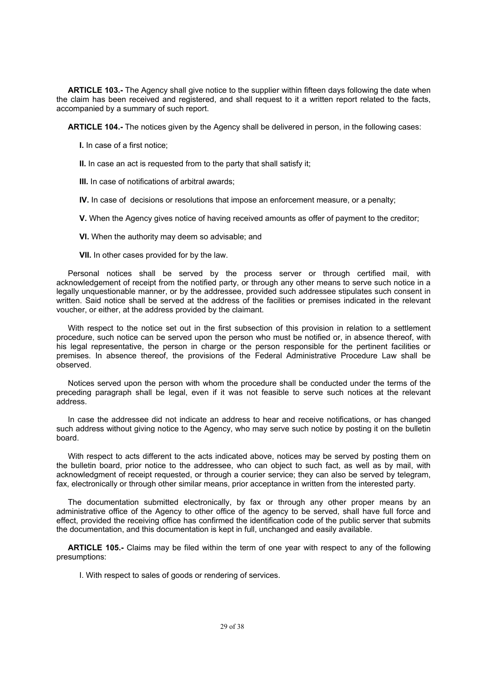**ARTICLE 103.-** The Agency shall give notice to the supplier within fifteen days following the date when the claim has been received and registered, and shall request to it a written report related to the facts, accompanied by a summary of such report.

**ARTICLE 104.-** The notices given by the Agency shall be delivered in person, in the following cases:

**I.** In case of a first notice;

**II.** In case an act is requested from to the party that shall satisfy it;

**III.** In case of notifications of arbitral awards;

**IV.** In case of decisions or resolutions that impose an enforcement measure, or a penalty;

**V.** When the Agency gives notice of having received amounts as offer of payment to the creditor;

**VI.** When the authority may deem so advisable; and

**VII.** In other cases provided for by the law.

Personal notices shall be served by the process server or through certified mail, with acknowledgement of receipt from the notified party, or through any other means to serve such notice in a legally unquestionable manner, or by the addressee, provided such addressee stipulates such consent in written. Said notice shall be served at the address of the facilities or premises indicated in the relevant voucher, or either, at the address provided by the claimant.

With respect to the notice set out in the first subsection of this provision in relation to a settlement procedure, such notice can be served upon the person who must be notified or, in absence thereof, with his legal representative, the person in charge or the person responsible for the pertinent facilities or premises. In absence thereof, the provisions of the Federal Administrative Procedure Law shall be observed.

Notices served upon the person with whom the procedure shall be conducted under the terms of the preceding paragraph shall be legal, even if it was not feasible to serve such notices at the relevant address.

In case the addressee did not indicate an address to hear and receive notifications, or has changed such address without giving notice to the Agency, who may serve such notice by posting it on the bulletin board.

With respect to acts different to the acts indicated above, notices may be served by posting them on the bulletin board, prior notice to the addressee, who can object to such fact, as well as by mail, with acknowledgment of receipt requested, or through a courier service; they can also be served by telegram, fax, electronically or through other similar means, prior acceptance in written from the interested party.

The documentation submitted electronically, by fax or through any other proper means by an administrative office of the Agency to other office of the agency to be served, shall have full force and effect, provided the receiving office has confirmed the identification code of the public server that submits the documentation, and this documentation is kept in full, unchanged and easily available.

**ARTICLE 105.-** Claims may be filed within the term of one year with respect to any of the following presumptions:

I. With respect to sales of goods or rendering of services.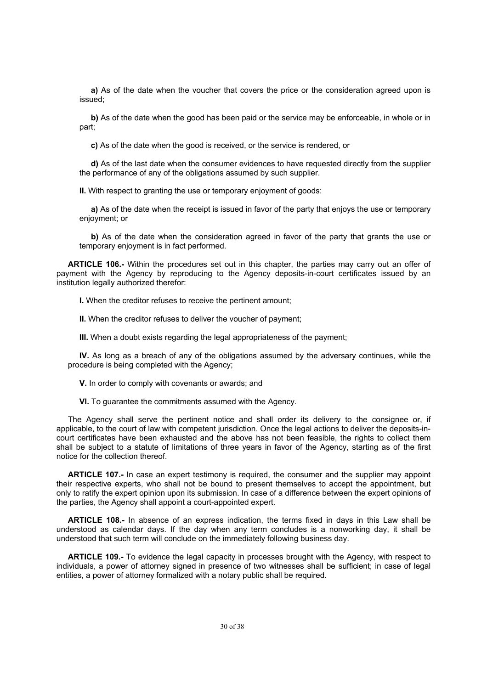**a)** As of the date when the voucher that covers the price or the consideration agreed upon is issued;

**b)** As of the date when the good has been paid or the service may be enforceable, in whole or in part;

**c)** As of the date when the good is received, or the service is rendered, or

**d)** As of the last date when the consumer evidences to have requested directly from the supplier the performance of any of the obligations assumed by such supplier.

**II.** With respect to granting the use or temporary enjoyment of goods:

**a)** As of the date when the receipt is issued in favor of the party that enjoys the use or temporary enjoyment; or

**b)** As of the date when the consideration agreed in favor of the party that grants the use or temporary enjoyment is in fact performed.

**ARTICLE 106.-** Within the procedures set out in this chapter, the parties may carry out an offer of payment with the Agency by reproducing to the Agency deposits-in-court certificates issued by an institution legally authorized therefor:

**I.** When the creditor refuses to receive the pertinent amount:

**II.** When the creditor refuses to deliver the voucher of payment;

**III.** When a doubt exists regarding the legal appropriateness of the payment;

**IV.** As long as a breach of any of the obligations assumed by the adversary continues, while the procedure is being completed with the Agency;

**V.** In order to comply with covenants or awards; and

**VI.** To guarantee the commitments assumed with the Agency.

The Agency shall serve the pertinent notice and shall order its delivery to the consignee or, if applicable, to the court of law with competent jurisdiction. Once the legal actions to deliver the deposits-incourt certificates have been exhausted and the above has not been feasible, the rights to collect them shall be subject to a statute of limitations of three years in favor of the Agency, starting as of the first notice for the collection thereof.

**ARTICLE 107.-** In case an expert testimony is required, the consumer and the supplier may appoint their respective experts, who shall not be bound to present themselves to accept the appointment, but only to ratify the expert opinion upon its submission. In case of a difference between the expert opinions of the parties, the Agency shall appoint a court-appointed expert.

**ARTICLE 108.-** In absence of an express indication, the terms fixed in days in this Law shall be understood as calendar days. If the day when any term concludes is a nonworking day, it shall be understood that such term will conclude on the immediately following business day.

**ARTICLE 109.-** To evidence the legal capacity in processes brought with the Agency, with respect to individuals, a power of attorney signed in presence of two witnesses shall be sufficient; in case of legal entities, a power of attorney formalized with a notary public shall be required.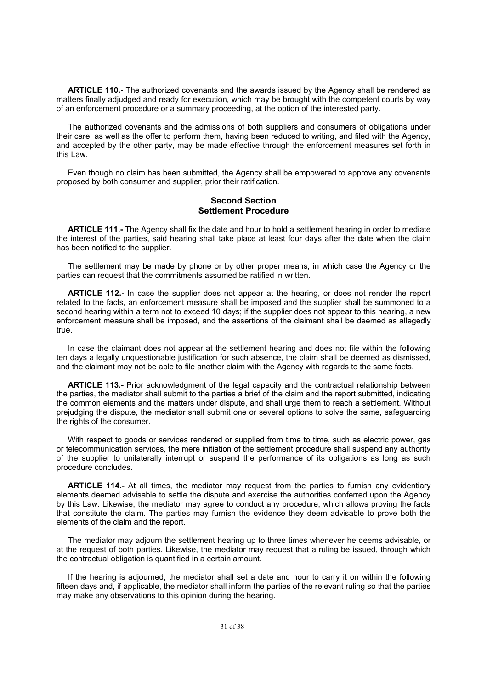**ARTICLE 110.-** The authorized covenants and the awards issued by the Agency shall be rendered as matters finally adjudged and ready for execution, which may be brought with the competent courts by way of an enforcement procedure or a summary proceeding, at the option of the interested party.

The authorized covenants and the admissions of both suppliers and consumers of obligations under their care, as well as the offer to perform them, having been reduced to writing, and filed with the Agency, and accepted by the other party, may be made effective through the enforcement measures set forth in this Law.

Even though no claim has been submitted, the Agency shall be empowered to approve any covenants proposed by both consumer and supplier, prior their ratification.

### **Second Section Settlement Procedure**

**ARTICLE 111.-** The Agency shall fix the date and hour to hold a settlement hearing in order to mediate the interest of the parties, said hearing shall take place at least four days after the date when the claim has been notified to the supplier.

The settlement may be made by phone or by other proper means, in which case the Agency or the parties can request that the commitments assumed be ratified in written.

**ARTICLE 112.-** In case the supplier does not appear at the hearing, or does not render the report related to the facts, an enforcement measure shall be imposed and the supplier shall be summoned to a second hearing within a term not to exceed 10 days; if the supplier does not appear to this hearing, a new enforcement measure shall be imposed, and the assertions of the claimant shall be deemed as allegedly true.

In case the claimant does not appear at the settlement hearing and does not file within the following ten days a legally unquestionable justification for such absence, the claim shall be deemed as dismissed, and the claimant may not be able to file another claim with the Agency with regards to the same facts.

**ARTICLE 113.-** Prior acknowledgment of the legal capacity and the contractual relationship between the parties, the mediator shall submit to the parties a brief of the claim and the report submitted, indicating the common elements and the matters under dispute, and shall urge them to reach a settlement. Without prejudging the dispute, the mediator shall submit one or several options to solve the same, safeguarding the rights of the consumer.

With respect to goods or services rendered or supplied from time to time, such as electric power, gas or telecommunication services, the mere initiation of the settlement procedure shall suspend any authority of the supplier to unilaterally interrupt or suspend the performance of its obligations as long as such procedure concludes.

**ARTICLE 114.-** At all times, the mediator may request from the parties to furnish any evidentiary elements deemed advisable to settle the dispute and exercise the authorities conferred upon the Agency by this Law. Likewise, the mediator may agree to conduct any procedure, which allows proving the facts that constitute the claim. The parties may furnish the evidence they deem advisable to prove both the elements of the claim and the report.

The mediator may adjourn the settlement hearing up to three times whenever he deems advisable, or at the request of both parties. Likewise, the mediator may request that a ruling be issued, through which the contractual obligation is quantified in a certain amount.

If the hearing is adjourned, the mediator shall set a date and hour to carry it on within the following fifteen days and, if applicable, the mediator shall inform the parties of the relevant ruling so that the parties may make any observations to this opinion during the hearing.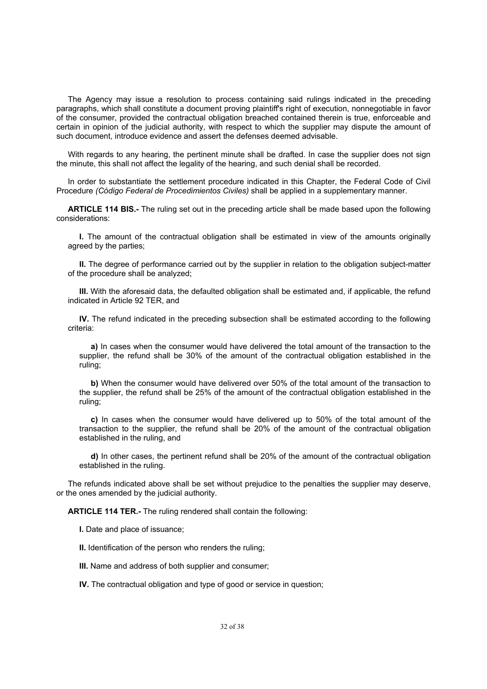The Agency may issue a resolution to process containing said rulings indicated in the preceding paragraphs, which shall constitute a document proving plaintiff's right of execution, nonnegotiable in favor of the consumer, provided the contractual obligation breached contained therein is true, enforceable and certain in opinion of the judicial authority, with respect to which the supplier may dispute the amount of such document, introduce evidence and assert the defenses deemed advisable.

With regards to any hearing, the pertinent minute shall be drafted. In case the supplier does not sign the minute, this shall not affect the legality of the hearing, and such denial shall be recorded.

In order to substantiate the settlement procedure indicated in this Chapter, the Federal Code of Civil Procedure *(Código Federal de Procedimientos Civiles)* shall be applied in a supplementary manner.

**ARTICLE 114 BIS.-** The ruling set out in the preceding article shall be made based upon the following considerations:

**I.** The amount of the contractual obligation shall be estimated in view of the amounts originally agreed by the parties;

**II.** The degree of performance carried out by the supplier in relation to the obligation subject-matter of the procedure shall be analyzed;

**III.** With the aforesaid data, the defaulted obligation shall be estimated and, if applicable, the refund indicated in Article 92 TER, and

**IV.** The refund indicated in the preceding subsection shall be estimated according to the following criteria:

**a)** In cases when the consumer would have delivered the total amount of the transaction to the supplier, the refund shall be 30% of the amount of the contractual obligation established in the ruling;

**b)** When the consumer would have delivered over 50% of the total amount of the transaction to the supplier, the refund shall be 25% of the amount of the contractual obligation established in the ruling;

**c)** In cases when the consumer would have delivered up to 50% of the total amount of the transaction to the supplier, the refund shall be 20% of the amount of the contractual obligation established in the ruling, and

**d)** In other cases, the pertinent refund shall be 20% of the amount of the contractual obligation established in the ruling.

The refunds indicated above shall be set without prejudice to the penalties the supplier may deserve, or the ones amended by the judicial authority.

**ARTICLE 114 TER.-** The ruling rendered shall contain the following:

**I.** Date and place of issuance;

**II.** Identification of the person who renders the ruling;

**III.** Name and address of both supplier and consumer;

**IV.** The contractual obligation and type of good or service in question;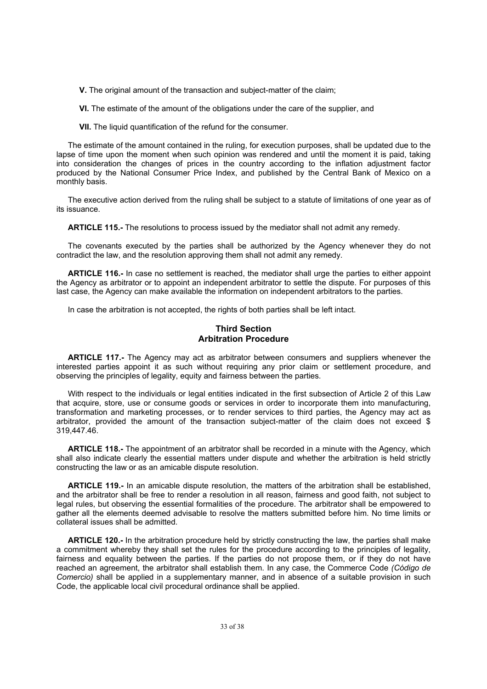**V.** The original amount of the transaction and subject-matter of the claim;

**VI.** The estimate of the amount of the obligations under the care of the supplier, and

**VII.** The liquid quantification of the refund for the consumer.

The estimate of the amount contained in the ruling, for execution purposes, shall be updated due to the lapse of time upon the moment when such opinion was rendered and until the moment it is paid, taking into consideration the changes of prices in the country according to the inflation adjustment factor produced by the National Consumer Price Index, and published by the Central Bank of Mexico on a monthly basis.

The executive action derived from the ruling shall be subject to a statute of limitations of one year as of its issuance.

**ARTICLE 115.-** The resolutions to process issued by the mediator shall not admit any remedy.

The covenants executed by the parties shall be authorized by the Agency whenever they do not contradict the law, and the resolution approving them shall not admit any remedy.

**ARTICLE 116.-** In case no settlement is reached, the mediator shall urge the parties to either appoint the Agency as arbitrator or to appoint an independent arbitrator to settle the dispute. For purposes of this last case, the Agency can make available the information on independent arbitrators to the parties.

In case the arbitration is not accepted, the rights of both parties shall be left intact.

## **Third Section Arbitration Procedure**

**ARTICLE 117.-** The Agency may act as arbitrator between consumers and suppliers whenever the interested parties appoint it as such without requiring any prior claim or settlement procedure, and observing the principles of legality, equity and fairness between the parties.

With respect to the individuals or legal entities indicated in the first subsection of Article 2 of this Law that acquire, store, use or consume goods or services in order to incorporate them into manufacturing, transformation and marketing processes, or to render services to third parties, the Agency may act as arbitrator, provided the amount of the transaction subject-matter of the claim does not exceed \$ 319,447.46.

**ARTICLE 118.-** The appointment of an arbitrator shall be recorded in a minute with the Agency, which shall also indicate clearly the essential matters under dispute and whether the arbitration is held strictly constructing the law or as an amicable dispute resolution.

**ARTICLE 119.-** In an amicable dispute resolution, the matters of the arbitration shall be established, and the arbitrator shall be free to render a resolution in all reason, fairness and good faith, not subject to legal rules, but observing the essential formalities of the procedure. The arbitrator shall be empowered to gather all the elements deemed advisable to resolve the matters submitted before him. No time limits or collateral issues shall be admitted.

**ARTICLE 120.-** In the arbitration procedure held by strictly constructing the law, the parties shall make a commitment whereby they shall set the rules for the procedure according to the principles of legality, fairness and equality between the parties. If the parties do not propose them, or if they do not have reached an agreement, the arbitrator shall establish them. In any case, the Commerce Code *(Código de Comercio)* shall be applied in a supplementary manner, and in absence of a suitable provision in such Code, the applicable local civil procedural ordinance shall be applied.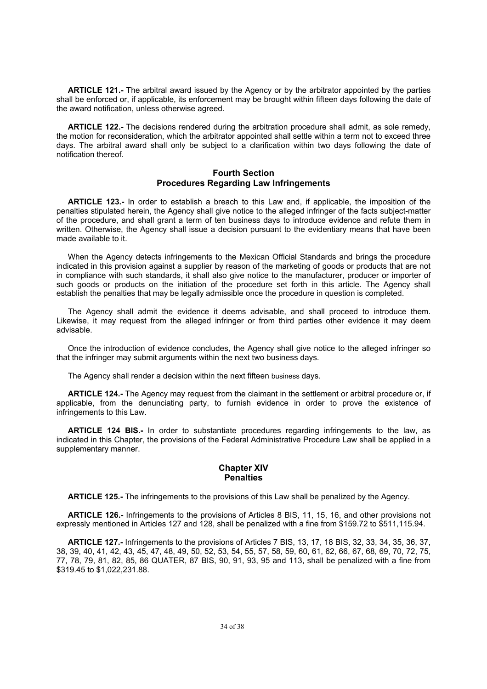**ARTICLE 121.-** The arbitral award issued by the Agency or by the arbitrator appointed by the parties shall be enforced or, if applicable, its enforcement may be brought within fifteen days following the date of the award notification, unless otherwise agreed.

**ARTICLE 122.-** The decisions rendered during the arbitration procedure shall admit, as sole remedy, the motion for reconsideration, which the arbitrator appointed shall settle within a term not to exceed three days. The arbitral award shall only be subject to a clarification within two days following the date of notification thereof.

## **Fourth Section Procedures Regarding Law Infringements**

**ARTICLE 123.-** In order to establish a breach to this Law and, if applicable, the imposition of the penalties stipulated herein, the Agency shall give notice to the alleged infringer of the facts subject-matter of the procedure, and shall grant a term of ten business days to introduce evidence and refute them in written. Otherwise, the Agency shall issue a decision pursuant to the evidentiary means that have been made available to it.

When the Agency detects infringements to the Mexican Official Standards and brings the procedure indicated in this provision against a supplier by reason of the marketing of goods or products that are not in compliance with such standards, it shall also give notice to the manufacturer, producer or importer of such goods or products on the initiation of the procedure set forth in this article. The Agency shall establish the penalties that may be legally admissible once the procedure in question is completed.

The Agency shall admit the evidence it deems advisable, and shall proceed to introduce them. Likewise, it may request from the alleged infringer or from third parties other evidence it may deem advisable.

Once the introduction of evidence concludes, the Agency shall give notice to the alleged infringer so that the infringer may submit arguments within the next two business days.

The Agency shall render a decision within the next fifteen business days.

**ARTICLE 124.-** The Agency may request from the claimant in the settlement or arbitral procedure or, if applicable, from the denunciating party, to furnish evidence in order to prove the existence of infringements to this Law.

**ARTICLE 124 BIS.-** In order to substantiate procedures regarding infringements to the law, as indicated in this Chapter, the provisions of the Federal Administrative Procedure Law shall be applied in a supplementary manner.

#### **Chapter XIV Penalties**

**ARTICLE 125.-** The infringements to the provisions of this Law shall be penalized by the Agency.

**ARTICLE 126.-** Infringements to the provisions of Articles 8 BIS, 11, 15, 16, and other provisions not expressly mentioned in Articles 127 and 128, shall be penalized with a fine from \$159.72 to \$511,115.94.

**ARTICLE 127.-** Infringements to the provisions of Articles 7 BIS, 13, 17, 18 BIS, 32, 33, 34, 35, 36, 37, 38, 39, 40, 41, 42, 43, 45, 47, 48, 49, 50, 52, 53, 54, 55, 57, 58, 59, 60, 61, 62, 66, 67, 68, 69, 70, 72, 75, 77, 78, 79, 81, 82, 85, 86 QUATER, 87 BIS, 90, 91, 93, 95 and 113, shall be penalized with a fine from \$319.45 to \$1,022,231.88.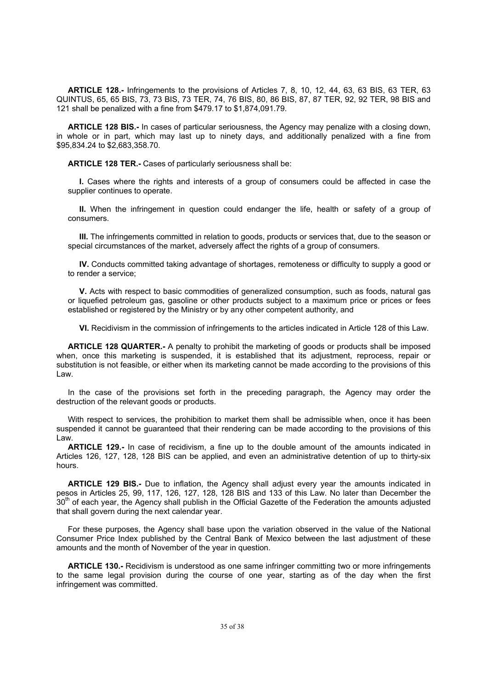**ARTICLE 128.-** Infringements to the provisions of Articles 7, 8, 10, 12, 44, 63, 63 BIS, 63 TER, 63 QUINTUS, 65, 65 BIS, 73, 73 BIS, 73 TER, 74, 76 BIS, 80, 86 BIS, 87, 87 TER, 92, 92 TER, 98 BIS and 121 shall be penalized with a fine from \$479.17 to \$1,874,091.79.

**ARTICLE 128 BIS.-** In cases of particular seriousness, the Agency may penalize with a closing down, in whole or in part, which may last up to ninety days, and additionally penalized with a fine from \$95,834.24 to \$2,683,358.70.

**ARTICLE 128 TER.-** Cases of particularly seriousness shall be:

**I.** Cases where the rights and interests of a group of consumers could be affected in case the supplier continues to operate.

**II.** When the infringement in question could endanger the life, health or safety of a group of consumers.

**III.** The infringements committed in relation to goods, products or services that, due to the season or special circumstances of the market, adversely affect the rights of a group of consumers.

**IV.** Conducts committed taking advantage of shortages, remoteness or difficulty to supply a good or to render a service;

**V.** Acts with respect to basic commodities of generalized consumption, such as foods, natural gas or liquefied petroleum gas, gasoline or other products subject to a maximum price or prices or fees established or registered by the Ministry or by any other competent authority, and

**VI.** Recidivism in the commission of infringements to the articles indicated in Article 128 of this Law.

**ARTICLE 128 QUARTER.-** A penalty to prohibit the marketing of goods or products shall be imposed when, once this marketing is suspended, it is established that its adjustment, reprocess, repair or substitution is not feasible, or either when its marketing cannot be made according to the provisions of this Law.

In the case of the provisions set forth in the preceding paragraph, the Agency may order the destruction of the relevant goods or products.

With respect to services, the prohibition to market them shall be admissible when, once it has been suspended it cannot be guaranteed that their rendering can be made according to the provisions of this Law.

**ARTICLE 129.-** In case of recidivism, a fine up to the double amount of the amounts indicated in Articles 126, 127, 128, 128 BIS can be applied, and even an administrative detention of up to thirty-six hours.

**ARTICLE 129 BIS.-** Due to inflation, the Agency shall adjust every year the amounts indicated in pesos in Articles 25, 99, 117, 126, 127, 128, 128 BIS and 133 of this Law. No later than December the 30<sup>th</sup> of each year, the Agency shall publish in the Official Gazette of the Federation the amounts adjusted that shall govern during the next calendar year.

For these purposes, the Agency shall base upon the variation observed in the value of the National Consumer Price Index published by the Central Bank of Mexico between the last adjustment of these amounts and the month of November of the year in question.

**ARTICLE 130.-** Recidivism is understood as one same infringer committing two or more infringements to the same legal provision during the course of one year, starting as of the day when the first infringement was committed.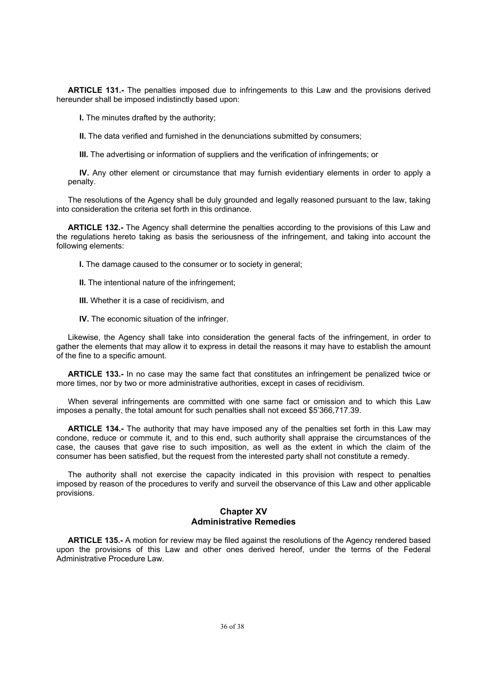**ARTICLE 131.-** The penalties imposed due to infringements to this Law and the provisions derived hereunder shall be imposed indistinctly based upon:

**I.** The minutes drafted by the authority;

**II.** The data verified and furnished in the denunciations submitted by consumers;

**III.** The advertising or information of suppliers and the verification of infringements; or

**IV.** Any other element or circumstance that may furnish evidentiary elements in order to apply a penalty.

The resolutions of the Agency shall be duly grounded and legally reasoned pursuant to the law, taking into consideration the criteria set forth in this ordinance.

**ARTICLE 132.-** The Agency shall determine the penalties according to the provisions of this Law and the regulations hereto taking as basis the seriousness of the infringement, and taking into account the following elements:

**I.** The damage caused to the consumer or to society in general;

- **II.** The intentional nature of the infringement;
- **III.** Whether it is a case of recidivism, and
- **IV.** The economic situation of the infringer.

Likewise, the Agency shall take into consideration the general facts of the infringement, in order to gather the elements that may allow it to express in detail the reasons it may have to establish the amount of the fine to a specific amount.

**ARTICLE 133.-** In no case may the same fact that constitutes an infringement be penalized twice or more times, nor by two or more administrative authorities, except in cases of recidivism.

When several infringements are committed with one same fact or omission and to which this Law imposes a penalty, the total amount for such penalties shall not exceed \$5'366,717.39.

**ARTICLE 134.-** The authority that may have imposed any of the penalties set forth in this Law may condone, reduce or commute it, and to this end, such authority shall appraise the circumstances of the case, the causes that gave rise to such imposition, as well as the extent in which the claim of the consumer has been satisfied, but the request from the interested party shall not constitute a remedy.

The authority shall not exercise the capacity indicated in this provision with respect to penalties imposed by reason of the procedures to verify and surveil the observance of this Law and other applicable provisions.

### **Chapter XV Administrative Remedies**

**ARTICLE 135.-** A motion for review may be filed against the resolutions of the Agency rendered based upon the provisions of this Law and other ones derived hereof, under the terms of the Federal Administrative Procedure Law.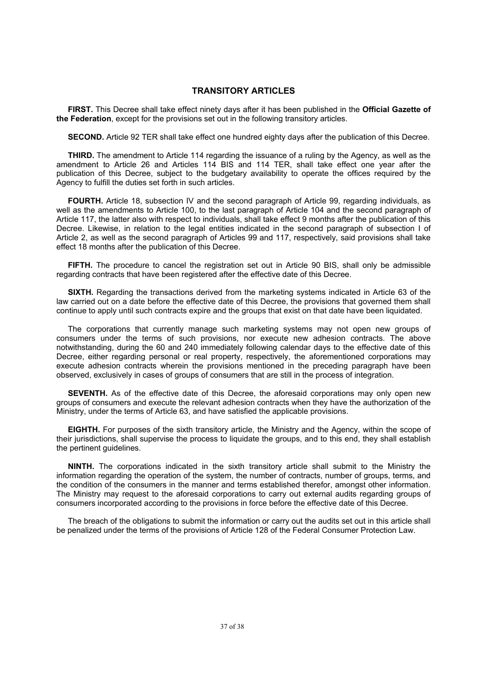#### **TRANSITORY ARTICLES**

**FIRST.** This Decree shall take effect ninety days after it has been published in the **Official Gazette of the Federation**, except for the provisions set out in the following transitory articles.

**SECOND.** Article 92 TER shall take effect one hundred eighty days after the publication of this Decree.

**THIRD.** The amendment to Article 114 regarding the issuance of a ruling by the Agency, as well as the amendment to Article 26 and Articles 114 BIS and 114 TER, shall take effect one year after the publication of this Decree, subject to the budgetary availability to operate the offices required by the Agency to fulfill the duties set forth in such articles.

**FOURTH.** Article 18, subsection IV and the second paragraph of Article 99, regarding individuals, as well as the amendments to Article 100, to the last paragraph of Article 104 and the second paragraph of Article 117, the latter also with respect to individuals, shall take effect 9 months after the publication of this Decree. Likewise, in relation to the legal entities indicated in the second paragraph of subsection I of Article 2, as well as the second paragraph of Articles 99 and 117, respectively, said provisions shall take effect 18 months after the publication of this Decree.

**FIFTH.** The procedure to cancel the registration set out in Article 90 BIS, shall only be admissible regarding contracts that have been registered after the effective date of this Decree.

**SIXTH.** Regarding the transactions derived from the marketing systems indicated in Article 63 of the law carried out on a date before the effective date of this Decree, the provisions that governed them shall continue to apply until such contracts expire and the groups that exist on that date have been liquidated.

The corporations that currently manage such marketing systems may not open new groups of consumers under the terms of such provisions, nor execute new adhesion contracts. The above notwithstanding, during the 60 and 240 immediately following calendar days to the effective date of this Decree, either regarding personal or real property, respectively, the aforementioned corporations may execute adhesion contracts wherein the provisions mentioned in the preceding paragraph have been observed, exclusively in cases of groups of consumers that are still in the process of integration.

**SEVENTH.** As of the effective date of this Decree, the aforesaid corporations may only open new groups of consumers and execute the relevant adhesion contracts when they have the authorization of the Ministry, under the terms of Article 63, and have satisfied the applicable provisions.

**EIGHTH.** For purposes of the sixth transitory article, the Ministry and the Agency, within the scope of their jurisdictions, shall supervise the process to liquidate the groups, and to this end, they shall establish the pertinent guidelines.

**NINTH.** The corporations indicated in the sixth transitory article shall submit to the Ministry the information regarding the operation of the system, the number of contracts, number of groups, terms, and the condition of the consumers in the manner and terms established therefor, amongst other information. The Ministry may request to the aforesaid corporations to carry out external audits regarding groups of consumers incorporated according to the provisions in force before the effective date of this Decree.

The breach of the obligations to submit the information or carry out the audits set out in this article shall be penalized under the terms of the provisions of Article 128 of the Federal Consumer Protection Law.